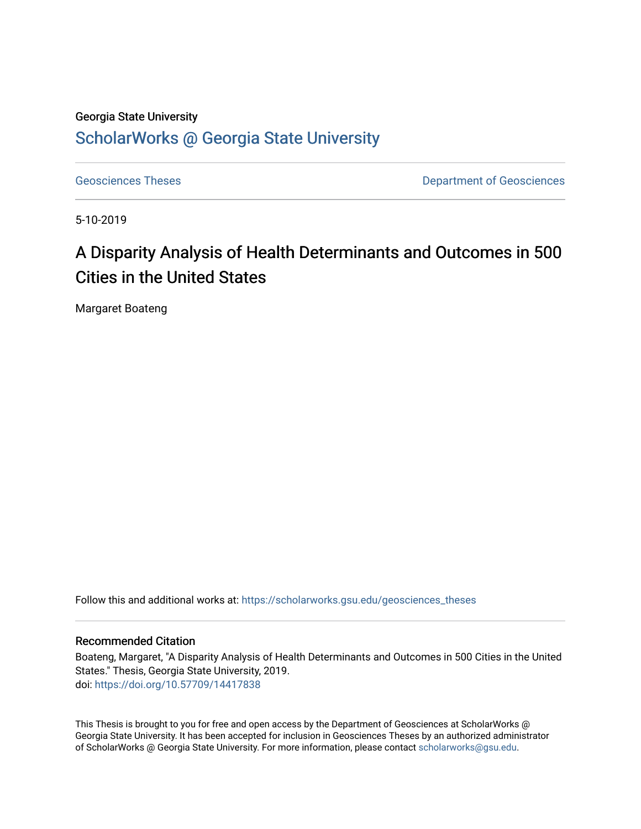# Georgia State University [ScholarWorks @ Georgia State University](https://scholarworks.gsu.edu/)

[Geosciences Theses](https://scholarworks.gsu.edu/geosciences_theses) **Department of Geosciences** 

5-10-2019

# A Disparity Analysis of Health Determinants and Outcomes in 500 Cities in the United States

Margaret Boateng

Follow this and additional works at: [https://scholarworks.gsu.edu/geosciences\\_theses](https://scholarworks.gsu.edu/geosciences_theses?utm_source=scholarworks.gsu.edu%2Fgeosciences_theses%2F133&utm_medium=PDF&utm_campaign=PDFCoverPages)

#### Recommended Citation

Boateng, Margaret, "A Disparity Analysis of Health Determinants and Outcomes in 500 Cities in the United States." Thesis, Georgia State University, 2019. doi: <https://doi.org/10.57709/14417838>

This Thesis is brought to you for free and open access by the Department of Geosciences at ScholarWorks @ Georgia State University. It has been accepted for inclusion in Geosciences Theses by an authorized administrator of ScholarWorks @ Georgia State University. For more information, please contact [scholarworks@gsu.edu.](mailto:scholarworks@gsu.edu)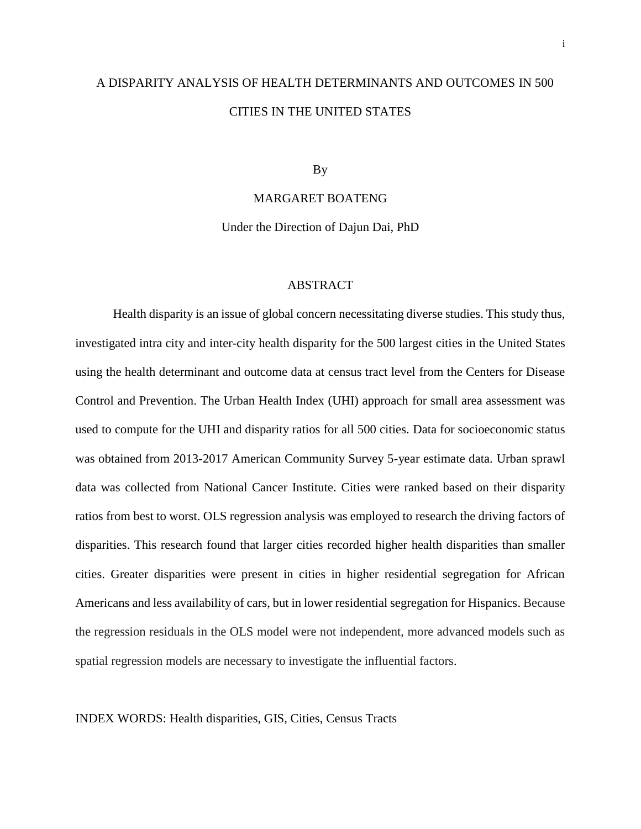# A DISPARITY ANALYSIS OF HEALTH DETERMINANTS AND OUTCOMES IN 500 CITIES IN THE UNITED STATES

By

MARGARET BOATENG

Under the Direction of Dajun Dai, PhD

#### ABSTRACT

Health disparity is an issue of global concern necessitating diverse studies. This study thus, investigated intra city and inter-city health disparity for the 500 largest cities in the United States using the health determinant and outcome data at census tract level from the Centers for Disease Control and Prevention. The Urban Health Index (UHI) approach for small area assessment was used to compute for the UHI and disparity ratios for all 500 cities. Data for socioeconomic status was obtained from 2013-2017 American Community Survey 5-year estimate data. Urban sprawl data was collected from National Cancer Institute. Cities were ranked based on their disparity ratios from best to worst. OLS regression analysis was employed to research the driving factors of disparities. This research found that larger cities recorded higher health disparities than smaller cities. Greater disparities were present in cities in higher residential segregation for African Americans and less availability of cars, but in lower residential segregation for Hispanics. Because the regression residuals in the OLS model were not independent, more advanced models such as spatial regression models are necessary to investigate the influential factors.

INDEX WORDS: Health disparities, GIS, Cities, Census Tracts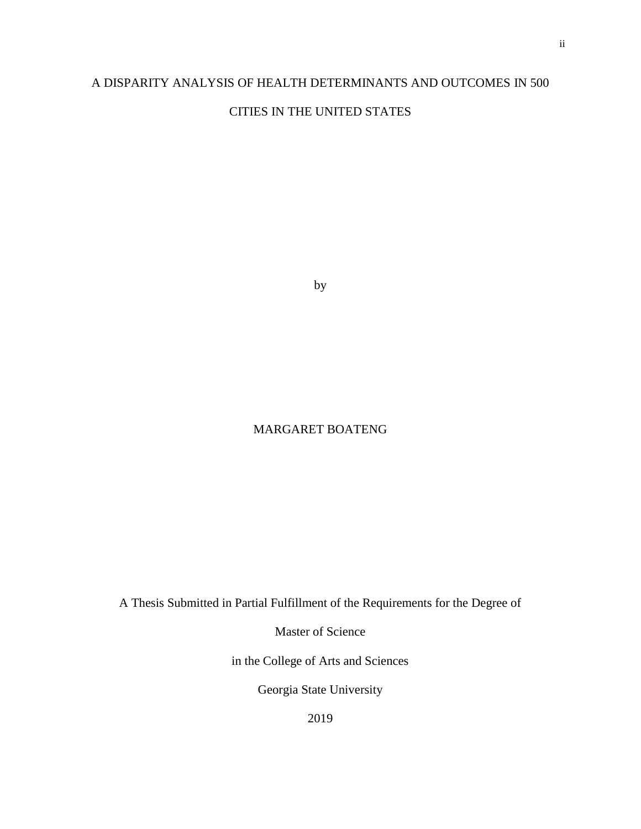# A DISPARITY ANALYSIS OF HEALTH DETERMINANTS AND OUTCOMES IN 500

## CITIES IN THE UNITED STATES

by

### MARGARET BOATENG

A Thesis Submitted in Partial Fulfillment of the Requirements for the Degree of

Master of Science

in the College of Arts and Sciences

Georgia State University

2019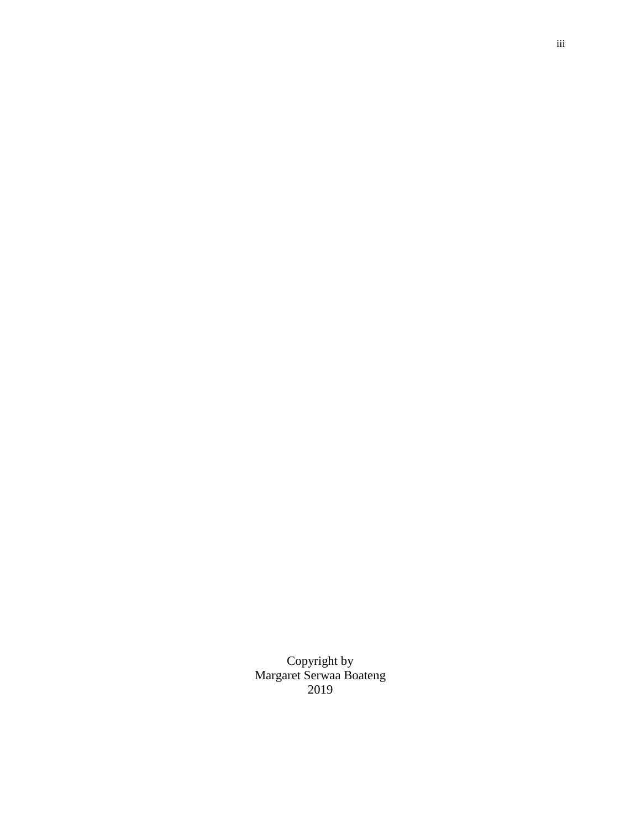Copyright by Margaret Serwaa Boateng 2019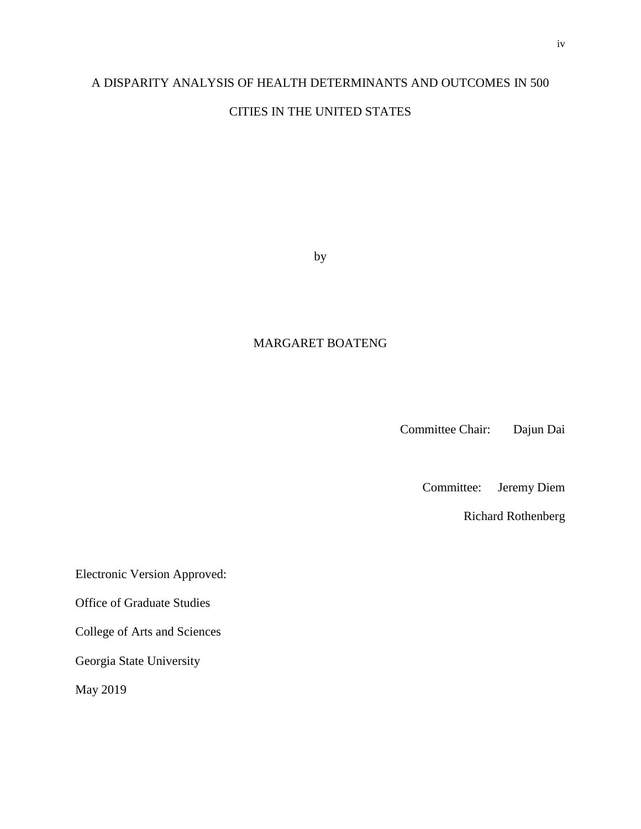## A DISPARITY ANALYSIS OF HEALTH DETERMINANTS AND OUTCOMES IN 500

## CITIES IN THE UNITED STATES

by

## MARGARET BOATENG

Committee Chair: Dajun Dai

Committee: Jeremy Diem

Richard Rothenberg

Electronic Version Approved:

Office of Graduate Studies

College of Arts and Sciences

Georgia State University

May 2019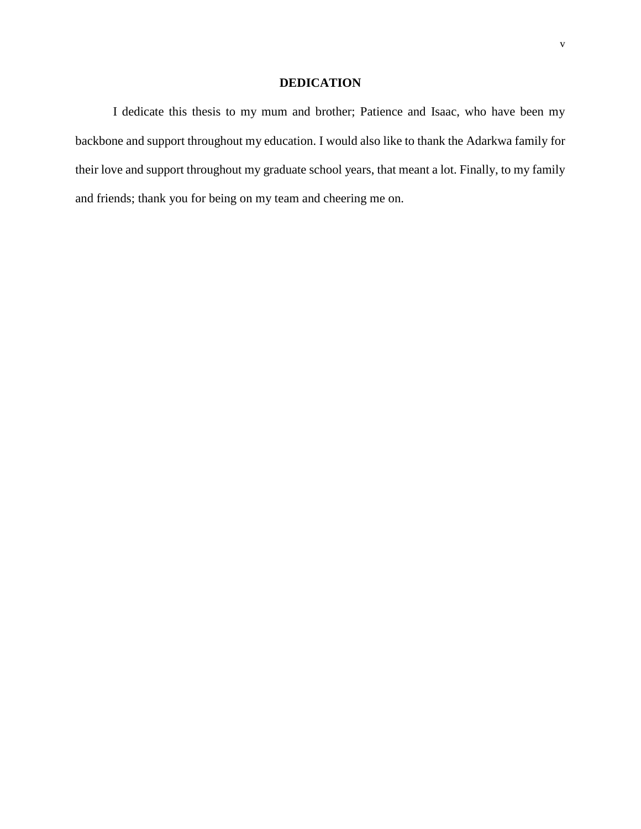### **DEDICATION**

I dedicate this thesis to my mum and brother; Patience and Isaac, who have been my backbone and support throughout my education. I would also like to thank the Adarkwa family for their love and support throughout my graduate school years, that meant a lot. Finally, to my family and friends; thank you for being on my team and cheering me on.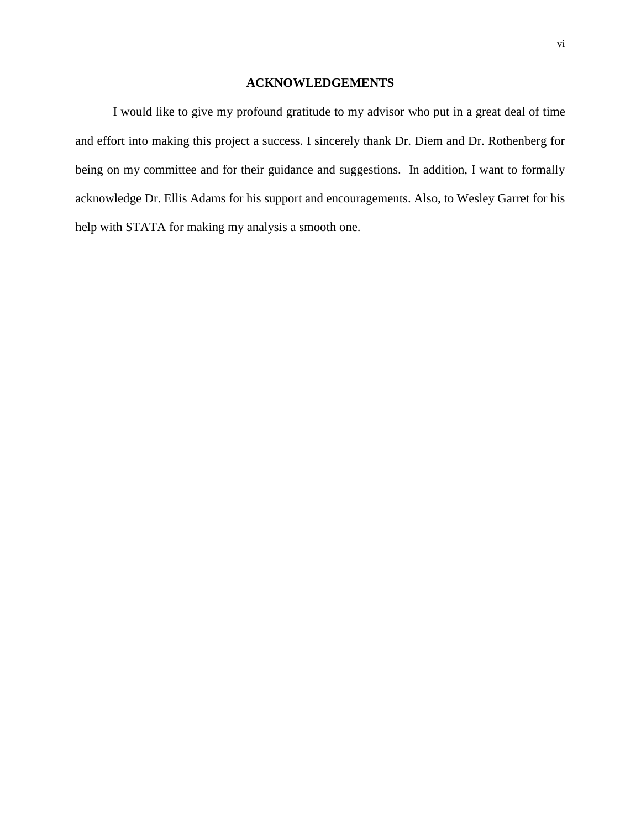### **ACKNOWLEDGEMENTS**

<span id="page-6-0"></span>I would like to give my profound gratitude to my advisor who put in a great deal of time and effort into making this project a success. I sincerely thank Dr. Diem and Dr. Rothenberg for being on my committee and for their guidance and suggestions. In addition, I want to formally acknowledge Dr. Ellis Adams for his support and encouragements. Also, to Wesley Garret for his help with STATA for making my analysis a smooth one.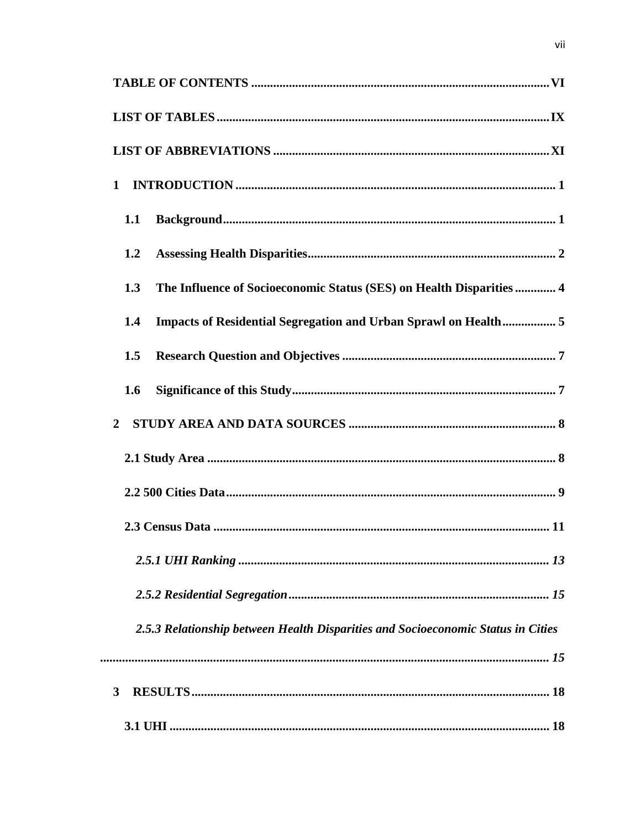| 1                                                                                |
|----------------------------------------------------------------------------------|
| 1.1                                                                              |
| 1.2                                                                              |
| The Influence of Socioeconomic Status (SES) on Health Disparities  4<br>1.3      |
| <b>Impacts of Residential Segregation and Urban Sprawl on Health 5</b><br>1.4    |
| 1.5                                                                              |
| 1.6                                                                              |
| $\mathbf{2}$                                                                     |
|                                                                                  |
|                                                                                  |
|                                                                                  |
|                                                                                  |
|                                                                                  |
| 2.5.3 Relationship between Health Disparities and Socioeconomic Status in Cities |
|                                                                                  |
| 3                                                                                |
|                                                                                  |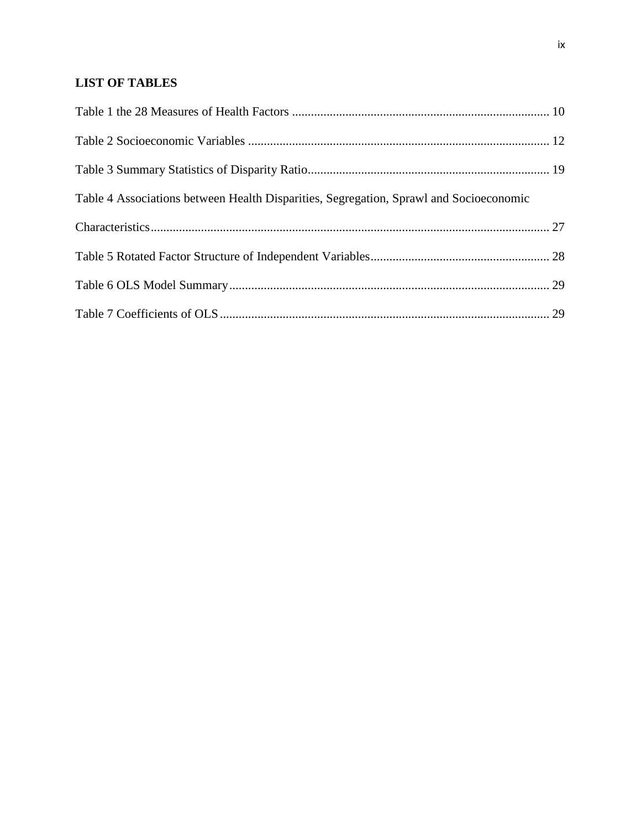# <span id="page-9-0"></span>**LIST OF TABLES**

| Table 4 Associations between Health Disparities, Segregation, Sprawl and Socioeconomic |  |
|----------------------------------------------------------------------------------------|--|
|                                                                                        |  |
|                                                                                        |  |
|                                                                                        |  |
|                                                                                        |  |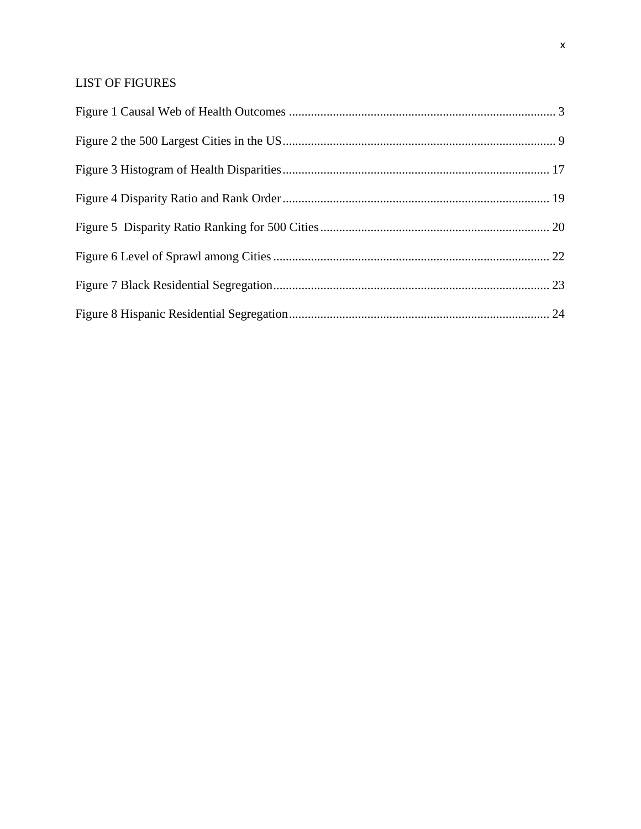# LIST OF FIGURES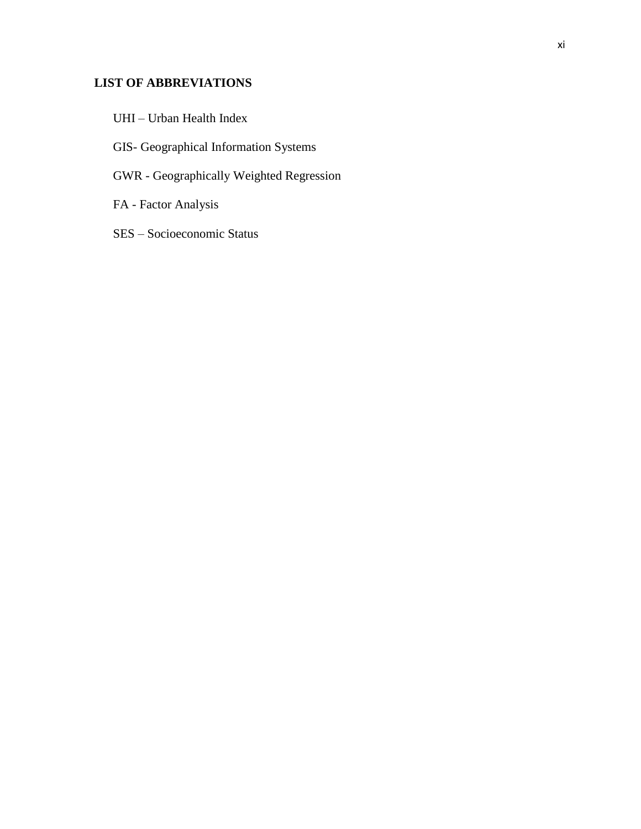# <span id="page-11-0"></span>**LIST OF ABBREVIATIONS**

- UHI Urban Health Index
- GIS- Geographical Information Systems
- GWR Geographically Weighted Regression
- FA Factor Analysis
- SES Socioeconomic Status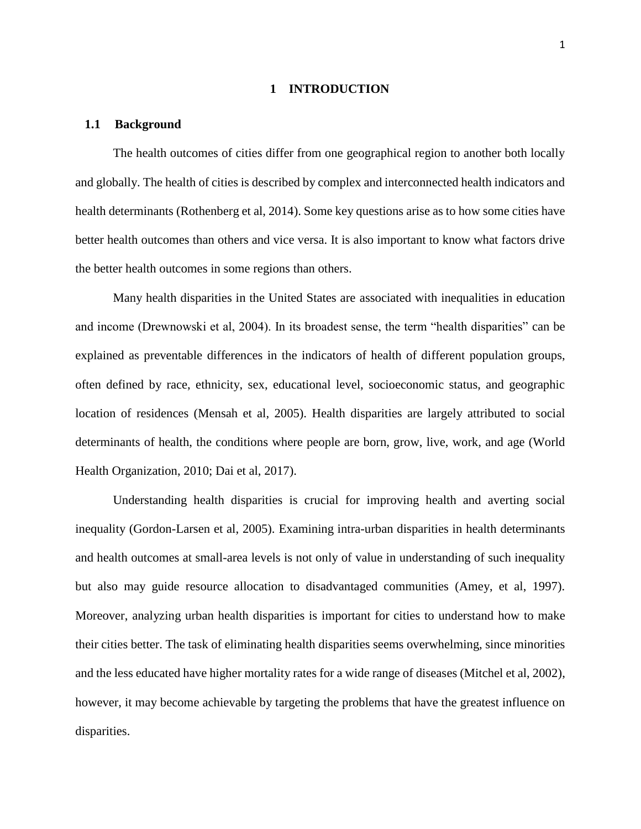#### **1 INTRODUCTION**

#### <span id="page-12-1"></span><span id="page-12-0"></span>**1.1 Background**

The health outcomes of cities differ from one geographical region to another both locally and globally. The health of cities is described by complex and interconnected health indicators and health determinants (Rothenberg et al, 2014). Some key questions arise as to how some cities have better health outcomes than others and vice versa. It is also important to know what factors drive the better health outcomes in some regions than others.

Many health disparities in the United States are associated with inequalities in education and income (Drewnowski et al, 2004). In its broadest sense, the term "health disparities" can be explained as preventable differences in the indicators of health of different population groups, often defined by race, ethnicity, sex, educational level, socioeconomic status, and geographic location of residences (Mensah et al, 2005). Health disparities are largely attributed to social determinants of health, the conditions where people are born, grow, live, work, and age (World Health Organization, 2010; Dai et al, 2017).

Understanding health disparities is crucial for improving health and averting social inequality (Gordon-Larsen et al, 2005). Examining intra-urban disparities in health determinants and health outcomes at small-area levels is not only of value in understanding of such inequality but also may guide resource allocation to disadvantaged communities (Amey, et al, 1997). Moreover, analyzing urban health disparities is important for cities to understand how to make their cities better. The task of eliminating health disparities seems overwhelming, since minorities and the less educated have higher mortality rates for a wide range of diseases (Mitchel et al, 2002), however, it may become achievable by targeting the problems that have the greatest influence on disparities.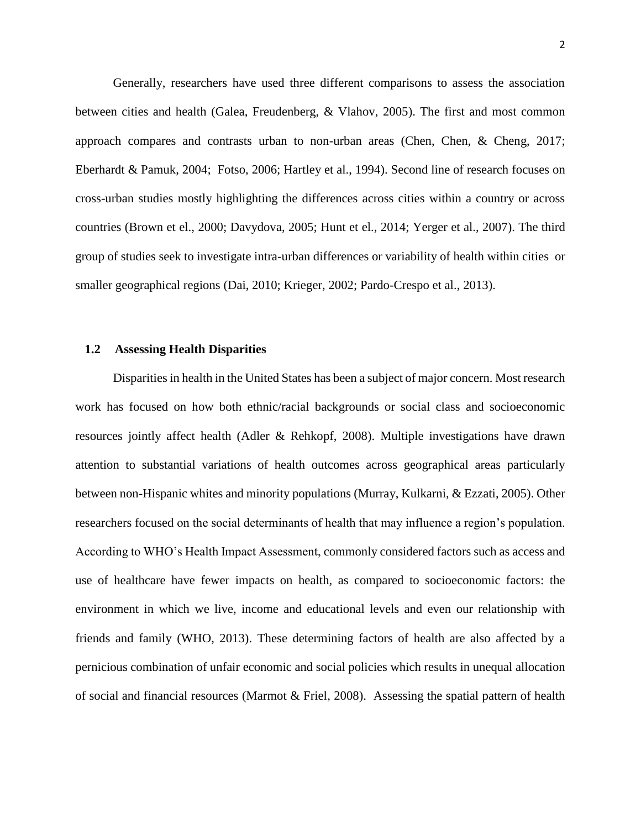Generally, researchers have used three different comparisons to assess the association between cities and health [\(Galea, Freudenberg, & Vlahov, 2005\)](#page-48-0). The first and most common approach compares and contrasts urban to non-urban areas [\(Chen, Chen, & Cheng, 2017;](#page-46-0) Eberhardt & Pamuk, 2004; Fotso, 2006; Hartley et al., 1994). Second line of research focuses on cross-urban studies mostly highlighting the differences across cities within a country or across countries (Brown et el., 2000; [Davydova, 2005;](#page-47-0) Hunt et el., 2014; Yerger et al., 2007). The third group of studies seek to investigate intra-urban differences or variability of health within cities or smaller geographical regions [\(Dai, 2010;](#page-47-1) Krieger, 2002; Pardo-Crespo et al., 2013).

#### <span id="page-13-0"></span>**1.2 Assessing Health Disparities**

Disparities in health in the United States has been a subject of major concern. Most research work has focused on how both ethnic/racial backgrounds or social class and socioeconomic resources jointly affect health (Adler & Rehkopf, 2008). Multiple investigations have drawn attention to substantial variations of health outcomes across geographical areas particularly between non-Hispanic whites and minority populations [\(Murray, Kulkarni, & Ezzati, 2005\)](#page-49-0). Other researchers focused on the social determinants of health that may influence a region's population. According to WHO's Health Impact Assessment, commonly considered factors such as access and use of healthcare have fewer impacts on health, as compared to socioeconomic factors: the environment in which we live, income and educational levels and even our relationship with friends and family (WHO, 2013). These determining factors of health are also affected by a pernicious combination of unfair economic and social policies which results in unequal allocation of social and financial resources [\(Marmot & Friel, 2008\)](#page-49-1). Assessing the spatial pattern of health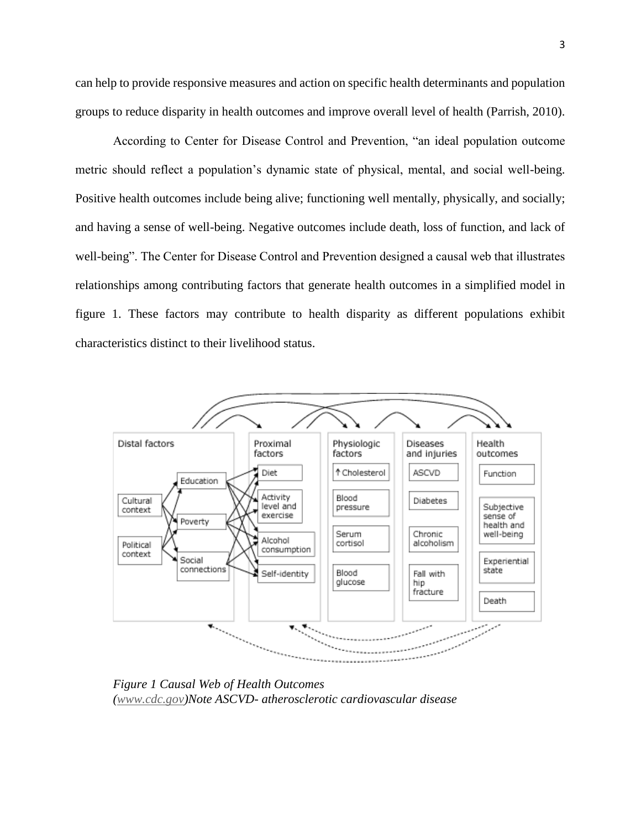can help to provide responsive measures and action on specific health determinants and population groups to reduce disparity in health outcomes and improve overall level of health [\(Parrish, 2010\)](#page-50-0).

According to Center for Disease Control and Prevention, "an ideal population outcome metric should reflect a population's dynamic state of physical, mental, and social well-being. Positive health outcomes include being alive; functioning well mentally, physically, and socially; and having a sense of well-being. Negative outcomes include death, loss of function, and lack of well-being". The Center for Disease Control and Prevention designed a causal web that illustrates relationships among contributing factors that generate health outcomes in a simplified model in figure 1. These factors may contribute to health disparity as different populations exhibit characteristics distinct to their livelihood status.



<span id="page-14-0"></span>*Figure 1 Causal Web of Health Outcomes [\(www.cdc.gov\)](http://www.cdc.gov/)Note ASCVD- atherosclerotic cardiovascular disease*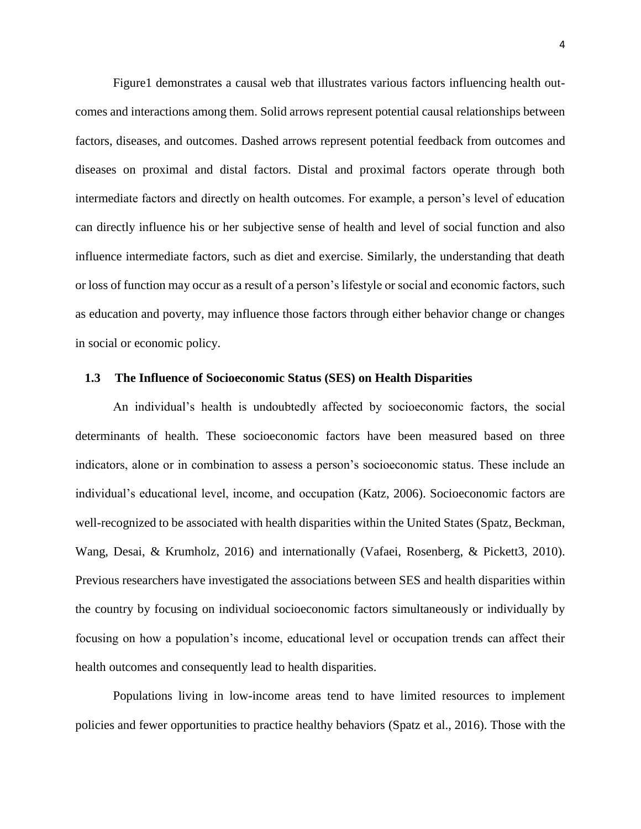Figure1 demonstrates a causal web that illustrates various factors influencing health outcomes and interactions among them. Solid arrows represent potential causal relationships between factors, diseases, and outcomes. Dashed arrows represent potential feedback from outcomes and diseases on proximal and distal factors. Distal and proximal factors operate through both intermediate factors and directly on health outcomes. For example, a person's level of education can directly influence his or her subjective sense of health and level of social function and also influence intermediate factors, such as diet and exercise. Similarly, the understanding that death or loss of function may occur as a result of a person's lifestyle or social and economic factors, such as education and poverty, may influence those factors through either behavior change or changes in social or economic policy.

#### <span id="page-15-0"></span>**1.3 The Influence of Socioeconomic Status (SES) on Health Disparities**

An individual's health is undoubtedly affected by socioeconomic factors, the social determinants of health. These socioeconomic factors have been measured based on three indicators, alone or in combination to assess a person's socioeconomic status. These include an individual's educational level, income, and occupation [\(Katz, 2006\)](#page-48-1). Socioeconomic factors are well-recognized to be associated with health disparities within the United States [\(Spatz, Beckman,](#page-50-1)  [Wang, Desai, & Krumholz, 2016\)](#page-50-1) and internationally [\(Vafaei, Rosenberg, & Pickett3, 2010\)](#page-51-0). Previous researchers have investigated the associations between SES and health disparities within the country by focusing on individual socioeconomic factors simultaneously or individually by focusing on how a population's income, educational level or occupation trends can affect their health outcomes and consequently lead to health disparities.

Populations living in low-income areas tend to have limited resources to implement policies and fewer opportunities to practice healthy behaviors [\(Spatz et al., 2016\)](#page-50-1). Those with the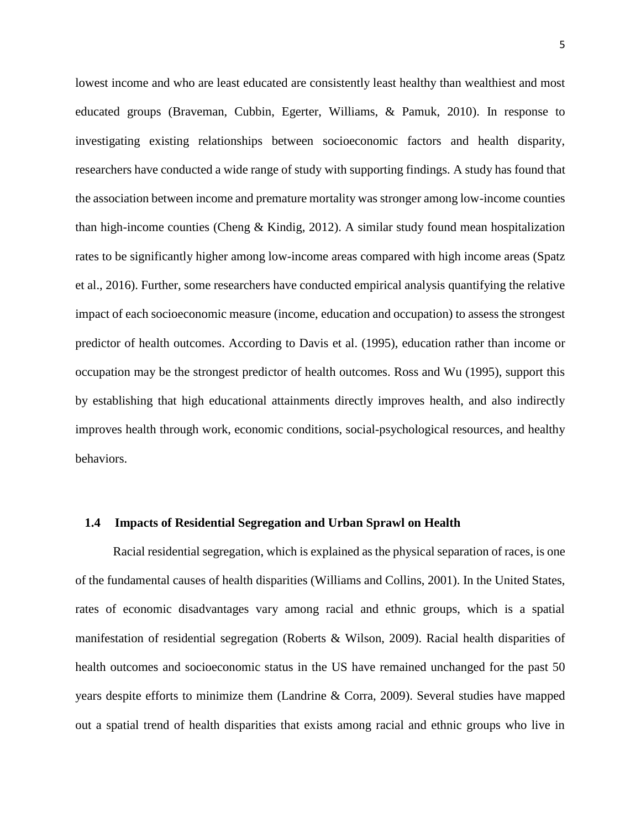lowest income and who are least educated are consistently least healthy than wealthiest and most educated groups [\(Braveman, Cubbin, Egerter, Williams, & Pamuk, 2010\)](#page-46-1). In response to investigating existing relationships between socioeconomic factors and health disparity, researchers have conducted a wide range of study with supporting findings. A study has found that the association between income and premature mortality was stronger among low-income counties than high-income counties [\(Cheng & Kindig, 2012\)](#page-46-2). A similar study found mean hospitalization rates to be significantly higher among low-income areas compared with high income areas [\(Spatz](#page-50-1)  [et al., 2016\)](#page-50-1). Further, some researchers have conducted empirical analysis quantifying the relative impact of each socioeconomic measure (income, education and occupation) to assess the strongest predictor of health outcomes. According to Davis et al. (1995), education rather than income or occupation may be the strongest predictor of health outcomes. Ross and Wu (1995), support this by establishing that high educational attainments directly improves health, and also indirectly improves health through work, economic conditions, social-psychological resources, and healthy behaviors.

#### <span id="page-16-0"></span>**1.4 Impacts of Residential Segregation and Urban Sprawl on Health**

Racial residential segregation, which is explained as the physical separation of races, is one of the fundamental causes of health disparities (Williams and Collins, 2001). In the United States, rates of economic disadvantages vary among racial and ethnic groups, which is a spatial manifestation of residential segregation [\(Roberts & Wilson, 2009\)](#page-50-2). Racial health disparities of health outcomes and socioeconomic status in the US have remained unchanged for the past 50 years despite efforts to minimize them [\(Landrine & Corra, 2009\)](#page-49-2). Several studies have mapped out a spatial trend of health disparities that exists among racial and ethnic groups who live in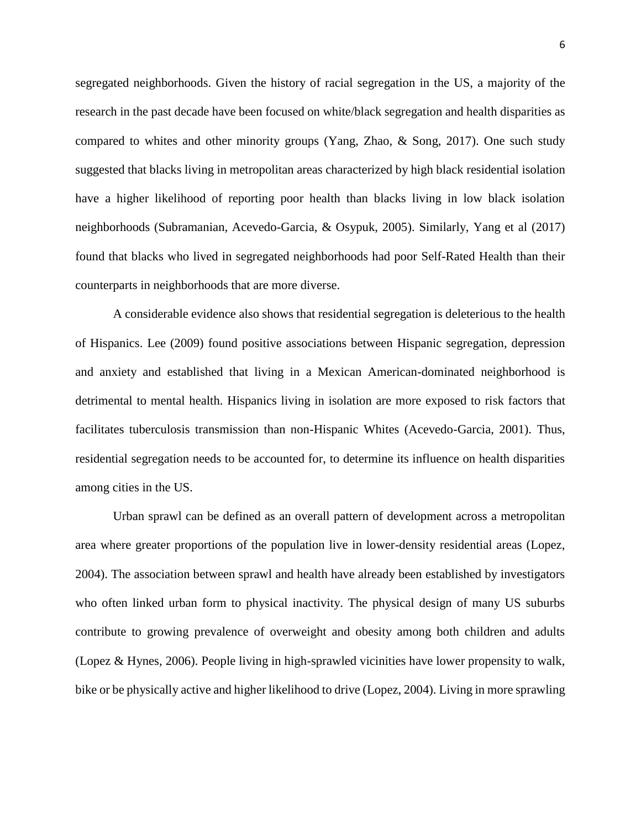segregated neighborhoods. Given the history of racial segregation in the US, a majority of the research in the past decade have been focused on white/black segregation and health disparities as compared to whites and other minority groups (Yang, Zhao, & Song, 2017). One such study suggested that blacks living in metropolitan areas characterized by high black residential isolation have a higher likelihood of reporting poor health than blacks living in low black isolation neighborhoods [\(Subramanian, Acevedo-Garcia, & Osypuk, 2005\)](#page-50-3). Similarly, Yang et al (2017) found that blacks who lived in segregated neighborhoods had poor Self-Rated Health than their counterparts in neighborhoods that are more diverse.

A considerable evidence also shows that residential segregation is deleterious to the health of Hispanics. Lee (2009) found positive associations between Hispanic segregation, depression and anxiety and established that living in a Mexican American-dominated neighborhood is detrimental to mental health. Hispanics living in isolation are more exposed to risk factors that facilitates tuberculosis transmission than non-Hispanic Whites (Acevedo-Garcia, 2001). Thus, residential segregation needs to be accounted for, to determine its influence on health disparities among cities in the US.

Urban sprawl can be defined as an overall pattern of development across a metropolitan area where greater proportions of the population live in lower-density residential areas (Lopez, 2004). The association between sprawl and health have already been established by investigators who often linked urban form to physical inactivity. The physical design of many US suburbs contribute to growing prevalence of overweight and obesity among both children and adults (Lopez & Hynes, 2006). People living in high-sprawled vicinities have lower propensity to walk, bike or be physically active and higher likelihood to drive (Lopez, 2004). Living in more sprawling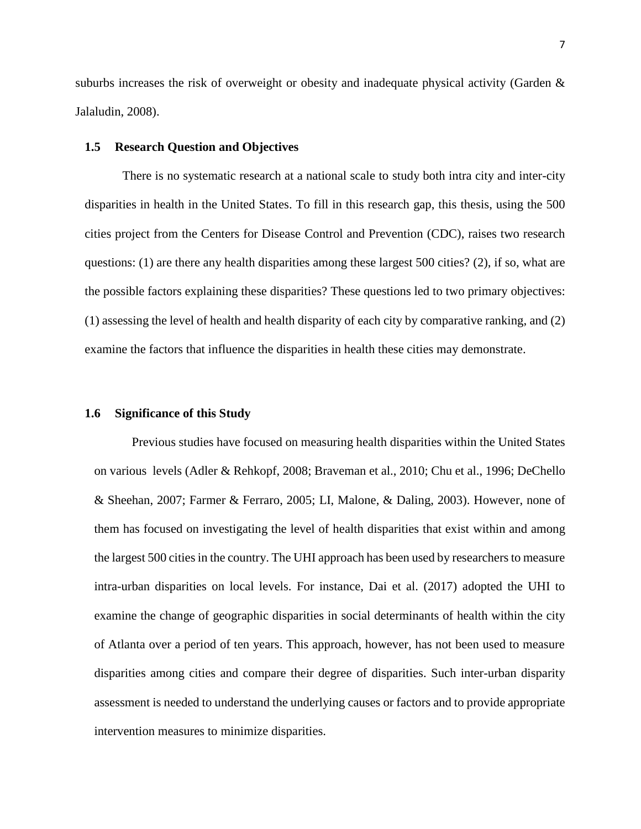suburbs increases the risk of overweight or obesity and inadequate physical activity (Garden  $\&$ Jalaludin, 2008).

#### <span id="page-18-0"></span>**1.5 Research Question and Objectives**

There is no systematic research at a national scale to study both intra city and inter-city disparities in health in the United States. To fill in this research gap, this thesis, using the 500 cities project from the Centers for Disease Control and Prevention (CDC), raises two research questions: (1) are there any health disparities among these largest 500 cities? (2), if so, what are the possible factors explaining these disparities? These questions led to two primary objectives: (1) assessing the level of health and health disparity of each city by comparative ranking, and (2) examine the factors that influence the disparities in health these cities may demonstrate.

#### <span id="page-18-1"></span>**1.6 Significance of this Study**

Previous studies have focused on measuring health disparities within the United States on various levels (Adler & Rehkopf, 2008; [Braveman et al., 2010;](#page-46-1) [Chu et al., 1996;](#page-47-2) [DeChello](#page-47-3)  [& Sheehan, 2007;](#page-47-3) [Farmer & Ferraro, 2005;](#page-47-4) [LI, Malone, & Daling, 2003\)](#page-49-3). However, none of them has focused on investigating the level of health disparities that exist within and among the largest 500 cities in the country. The UHI approach has been used by researchers to measure intra-urban disparities on local levels. For instance, Dai et al. (2017) adopted the UHI to examine the change of geographic disparities in social determinants of health within the city of Atlanta over a period of ten years. This approach, however, has not been used to measure disparities among cities and compare their degree of disparities. Such inter-urban disparity assessment is needed to understand the underlying causes or factors and to provide appropriate intervention measures to minimize disparities.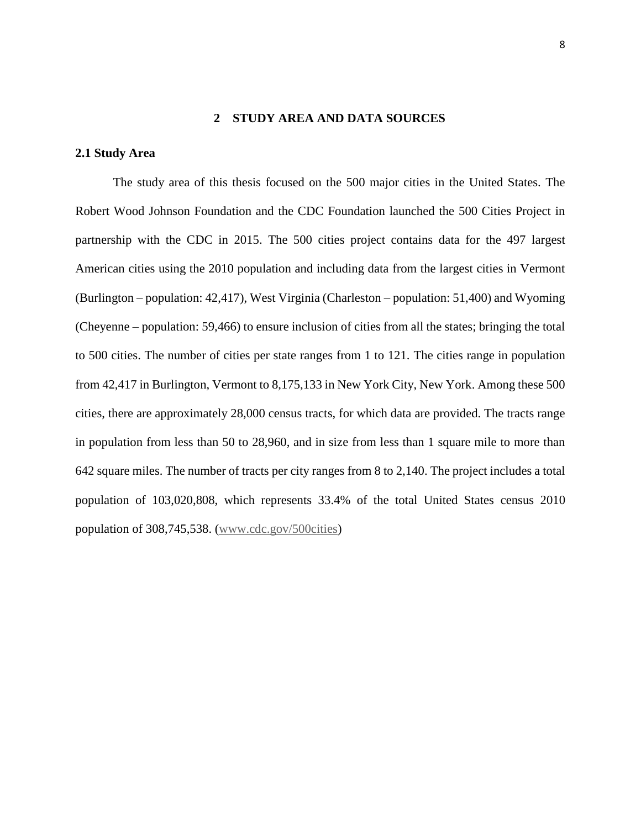#### **2 STUDY AREA AND DATA SOURCES**

#### <span id="page-19-1"></span><span id="page-19-0"></span>**2.1 Study Area**

The study area of this thesis focused on the 500 major cities in the United States. The Robert Wood Johnson Foundation and the CDC Foundation launched the 500 Cities Project in partnership with the CDC in 2015. The 500 cities project contains data for the 497 largest American cities using the 2010 population and including data from the largest cities in Vermont (Burlington – population: 42,417), West Virginia (Charleston – population: 51,400) and Wyoming (Cheyenne – population: 59,466) to ensure inclusion of cities from all the states; bringing the total to 500 cities. The number of cities per state ranges from 1 to 121. The cities range in population from 42,417 in Burlington, Vermont to 8,175,133 in New York City, New York. Among these 500 cities, there are approximately 28,000 census tracts, for which data are provided. The tracts range in population from less than 50 to 28,960, and in size from less than 1 square mile to more than 642 square miles. The number of tracts per city ranges from 8 to 2,140. The project includes a total population of 103,020,808, which represents 33.4% of the total United States census 2010 population of 308,745,538. [\(www.cdc.gov/500cities\)](http://www.cdc.gov/500cities)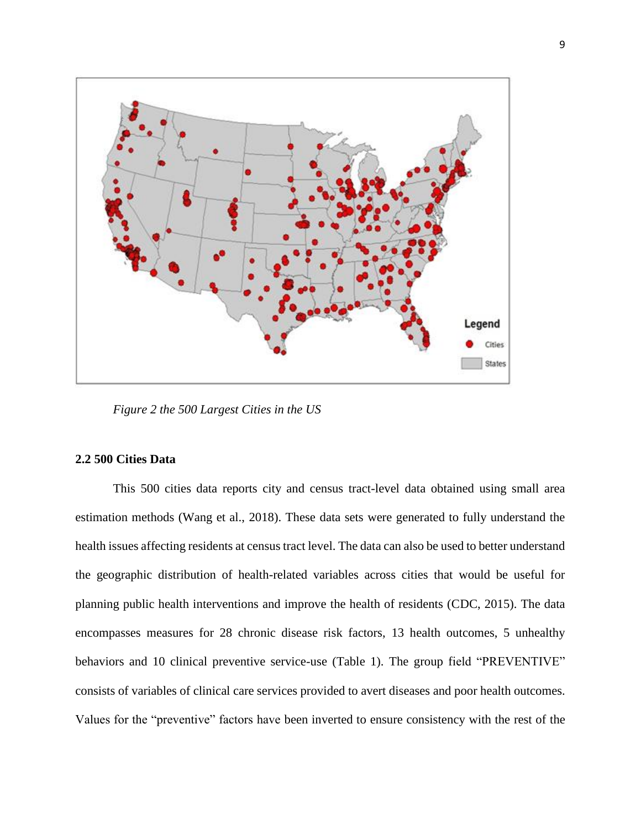

<span id="page-20-1"></span>*Figure 2 the 500 Largest Cities in the US*

### <span id="page-20-0"></span>**2.2 500 Cities Data**

This 500 cities data reports city and census tract-level data obtained using small area estimation methods (Wang et al., 2018). These data sets were generated to fully understand the health issues affecting residents at census tract level. The data can also be used to better understand the geographic distribution of health-related variables across cities that would be useful for planning public health interventions and improve the health of residents (CDC, 2015). The data encompasses measures for 28 chronic disease risk factors, 13 health outcomes, 5 unhealthy behaviors and 10 clinical preventive service-use (Table 1). The group field "PREVENTIVE" consists of variables of clinical care services provided to avert diseases and poor health outcomes. Values for the "preventive" factors have been inverted to ensure consistency with the rest of the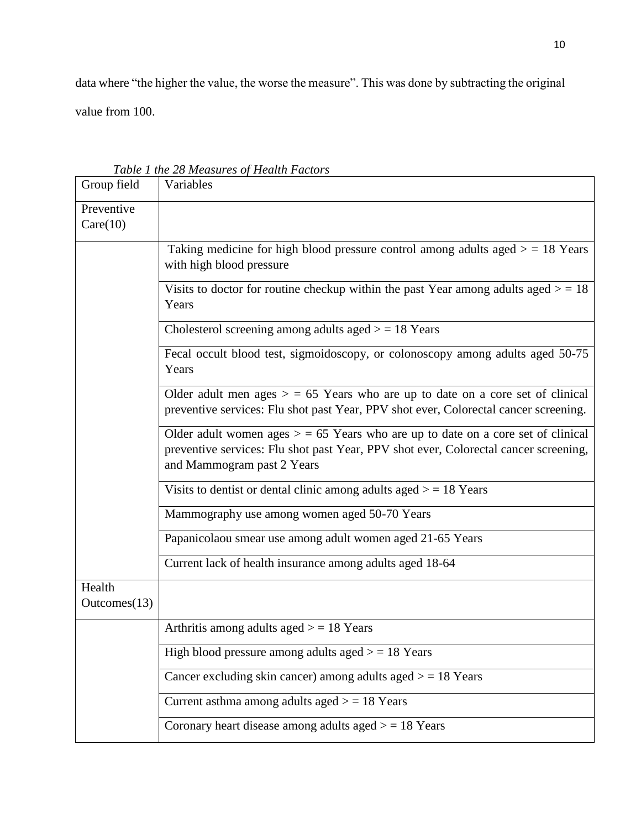data where "the higher the value, the worse the measure". This was done by subtracting the original value from 100.

<span id="page-21-0"></span>

| Group field            | Variables                                                                                                                                                                                                |
|------------------------|----------------------------------------------------------------------------------------------------------------------------------------------------------------------------------------------------------|
| Preventive<br>Care(10) |                                                                                                                                                                                                          |
|                        | Taking medicine for high blood pressure control among adults aged $>$ = 18 Years<br>with high blood pressure                                                                                             |
|                        | Visits to doctor for routine checkup within the past Year among adults aged $>$ = 18<br>Years                                                                                                            |
|                        | Cholesterol screening among adults aged $>$ = 18 Years                                                                                                                                                   |
|                        | Fecal occult blood test, sigmoidoscopy, or colonoscopy among adults aged 50-75<br>Years                                                                                                                  |
|                        | Older adult men ages $>$ = 65 Years who are up to date on a core set of clinical<br>preventive services: Flu shot past Year, PPV shot ever, Colorectal cancer screening.                                 |
|                        | Older adult women ages $>$ = 65 Years who are up to date on a core set of clinical<br>preventive services: Flu shot past Year, PPV shot ever, Colorectal cancer screening,<br>and Mammogram past 2 Years |
|                        | Visits to dentist or dental clinic among adults aged $>$ = 18 Years                                                                                                                                      |
|                        | Mammography use among women aged 50-70 Years                                                                                                                                                             |
|                        | Papanicolaou smear use among adult women aged 21-65 Years                                                                                                                                                |
|                        | Current lack of health insurance among adults aged 18-64                                                                                                                                                 |
| Health<br>Outcomes(13) |                                                                                                                                                                                                          |
|                        | Arthritis among adults aged $>$ = 18 Years                                                                                                                                                               |
|                        | High blood pressure among adults aged $>$ = 18 Years                                                                                                                                                     |
|                        | Cancer excluding skin cancer) among adults aged $>$ = 18 Years                                                                                                                                           |
|                        | Current asthma among adults aged $>$ = 18 Years                                                                                                                                                          |
|                        | Coronary heart disease among adults aged $>$ = 18 Years                                                                                                                                                  |

*Table 1 the 28 Measures of Health Factors*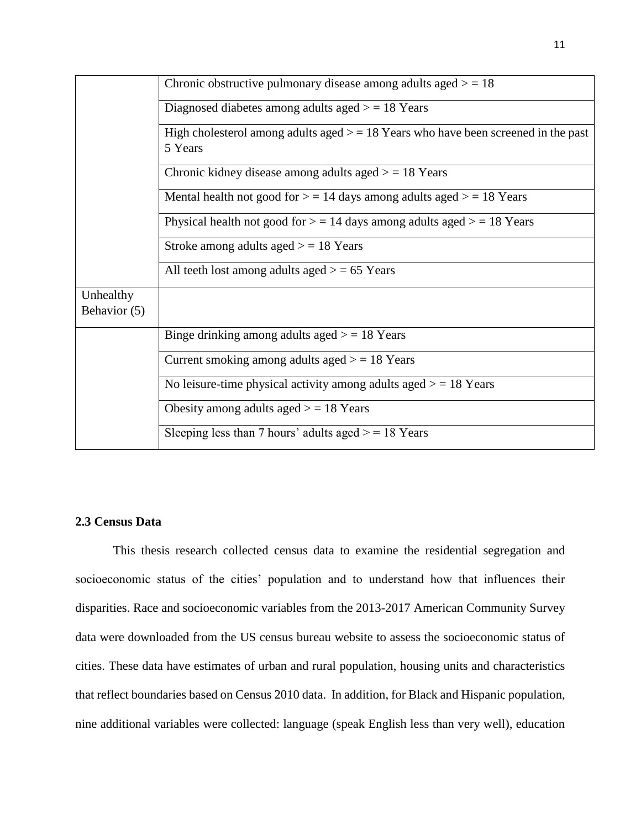|                           | Chronic obstructive pulmonary disease among adults aged $> = 18$                                |  |  |  |  |  |  |  |
|---------------------------|-------------------------------------------------------------------------------------------------|--|--|--|--|--|--|--|
|                           | Diagnosed diabetes among adults aged $>$ = 18 Years                                             |  |  |  |  |  |  |  |
|                           | High cholesterol among adults aged $>$ = 18 Years who have been screened in the past<br>5 Years |  |  |  |  |  |  |  |
|                           | Chronic kidney disease among adults aged $>$ = 18 Years                                         |  |  |  |  |  |  |  |
|                           | Mental health not good for $>$ = 14 days among adults aged $>$ = 18 Years                       |  |  |  |  |  |  |  |
|                           | Physical health not good for $>$ = 14 days among adults aged $>$ = 18 Years                     |  |  |  |  |  |  |  |
|                           | Stroke among adults aged $>$ = 18 Years                                                         |  |  |  |  |  |  |  |
|                           | All teeth lost among adults aged $> = 65$ Years                                                 |  |  |  |  |  |  |  |
| Unhealthy<br>Behavior (5) |                                                                                                 |  |  |  |  |  |  |  |
|                           | Binge drinking among adults aged $>$ = 18 Years                                                 |  |  |  |  |  |  |  |
|                           | Current smoking among adults aged $>$ = 18 Years                                                |  |  |  |  |  |  |  |
|                           | No leisure-time physical activity among adults aged $>$ = 18 Years                              |  |  |  |  |  |  |  |
|                           | Obesity among adults aged $>$ = 18 Years                                                        |  |  |  |  |  |  |  |
|                           | Sleeping less than 7 hours' adults aged $>$ = 18 Years                                          |  |  |  |  |  |  |  |

### <span id="page-22-0"></span>**2.3 Census Data**

This thesis research collected census data to examine the residential segregation and socioeconomic status of the cities' population and to understand how that influences their disparities. Race and socioeconomic variables from the 2013-2017 American Community Survey data were downloaded from the US census bureau website to assess the socioeconomic status of cities. These data have estimates of urban and rural population, housing units and characteristics that reflect boundaries based on Census 2010 data. In addition, for Black and Hispanic population, nine additional variables were collected: language (speak English less than very well), education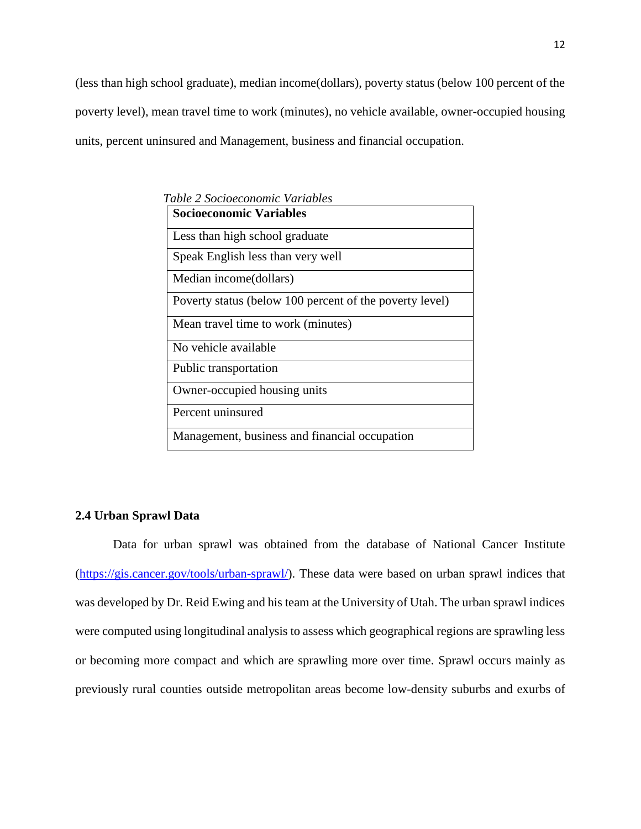(less than high school graduate), median income(dollars), poverty status (below 100 percent of the poverty level), mean travel time to work (minutes), no vehicle available, owner-occupied housing units, percent uninsured and Management, business and financial occupation.

<span id="page-23-0"></span>

| Table 2 Socioeconomic Variables                         |
|---------------------------------------------------------|
| <b>Socioeconomic Variables</b>                          |
| Less than high school graduate                          |
| Speak English less than very well                       |
| Median income (dollars)                                 |
| Poverty status (below 100 percent of the poverty level) |
| Mean travel time to work (minutes)                      |
| No vehicle available                                    |
| Public transportation                                   |
| Owner-occupied housing units                            |
| Percent uninsured                                       |
| Management, business and financial occupation           |

### **2.4 Urban Sprawl Data**

Data for urban sprawl was obtained from the database of National Cancer Institute (https://gis.cancer.gov/tools/urban-sprawl/). These data were based on urban sprawl indices that was developed by Dr. Reid Ewing and his team at the University of Utah. The urban sprawl indices were computed using longitudinal analysis to assess which geographical regions are sprawling less or becoming more compact and which are sprawling more over time. Sprawl occurs mainly as previously rural counties outside metropolitan areas become low-density suburbs and exurbs of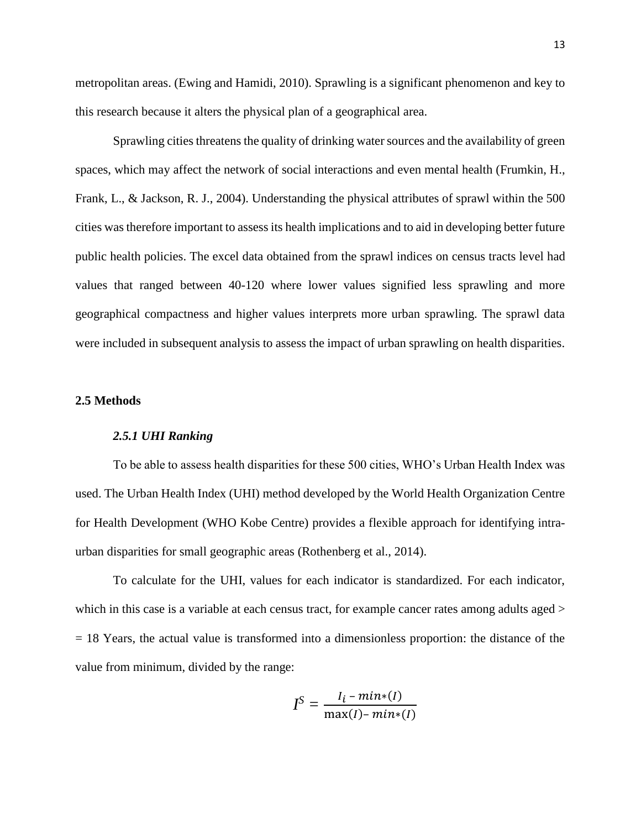metropolitan areas. (Ewing and Hamidi, 2010). Sprawling is a significant phenomenon and key to this research because it alters the physical plan of a geographical area.

Sprawling cities threatens the quality of drinking water sources and the availability of green spaces, which may affect the network of social interactions and even mental health (Frumkin, H., Frank, L., & Jackson, R. J., 2004). Understanding the physical attributes of sprawl within the 500 cities was therefore important to assess its health implications and to aid in developing better future public health policies. The excel data obtained from the sprawl indices on census tracts level had values that ranged between 40-120 where lower values signified less sprawling and more geographical compactness and higher values interprets more urban sprawling. The sprawl data were included in subsequent analysis to assess the impact of urban sprawling on health disparities.

#### <span id="page-24-0"></span>**2.5 Methods**

#### *2.5.1 UHI Ranking*

To be able to assess health disparities for these 500 cities, WHO's Urban Health Index was used. The Urban Health Index (UHI) method developed by the World Health Organization Centre for Health Development (WHO Kobe Centre) provides a flexible approach for identifying intraurban disparities for small geographic areas (Rothenberg et al., 2014).

To calculate for the UHI, values for each indicator is standardized. For each indicator, which in this case is a variable at each census tract, for example cancer rates among adults aged > = 18 Years, the actual value is transformed into a dimensionless proportion: the distance of the value from minimum, divided by the range:

$$
I^{S} = \frac{I_{i} - min*(I)}{\max(I) - min*(I)}
$$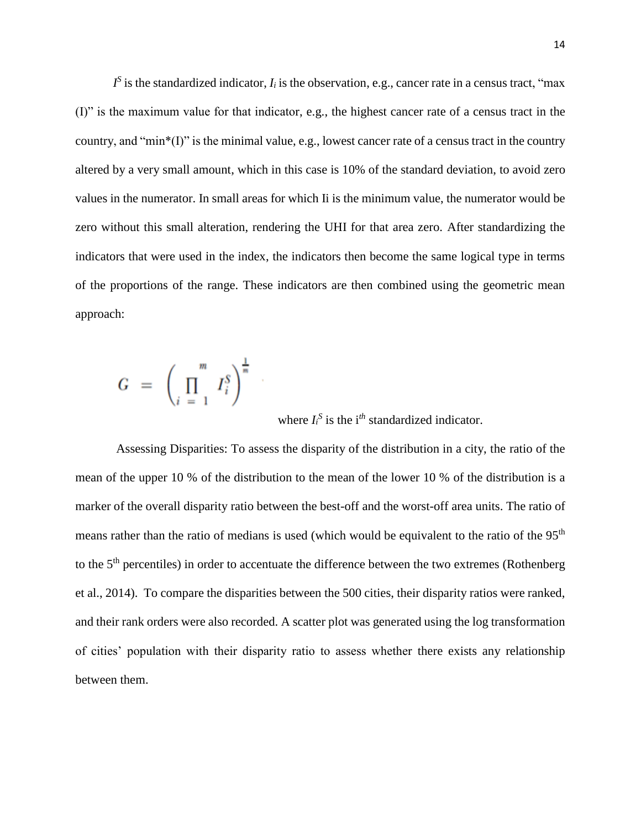$I^S$  is the standardized indicator,  $I_i$  is the observation, e.g., cancer rate in a census tract, "max (I)" is the maximum value for that indicator, e.g., the highest cancer rate of a census tract in the country, and "min\*(I)" is the minimal value, e.g., lowest cancer rate of a census tract in the country altered by a very small amount, which in this case is 10% of the standard deviation, to avoid zero values in the numerator. In small areas for which Ii is the minimum value, the numerator would be zero without this small alteration, rendering the UHI for that area zero. After standardizing the indicators that were used in the index, the indicators then become the same logical type in terms of the proportions of the range. These indicators are then combined using the geometric mean approach:

$$
G = \left(\prod_{i=1}^{m} I_i^S\right)^{\frac{1}{m}}
$$

where  $I_i^S$  is the i<sup>th</sup> standardized indicator.

Assessing Disparities: To assess the disparity of the distribution in a city, the ratio of the mean of the upper 10 % of the distribution to the mean of the lower 10 % of the distribution is a marker of the overall disparity ratio between the best-off and the worst-off area units. The ratio of means rather than the ratio of medians is used (which would be equivalent to the ratio of the 95<sup>th</sup> to the 5<sup>th</sup> percentiles) in order to accentuate the difference between the two extremes (Rothenberg [et al., 2014\)](#page-50-2). To compare the disparities between the 500 cities, their disparity ratios were ranked, and their rank orders were also recorded. A scatter plot was generated using the log transformation of cities' population with their disparity ratio to assess whether there exists any relationship between them.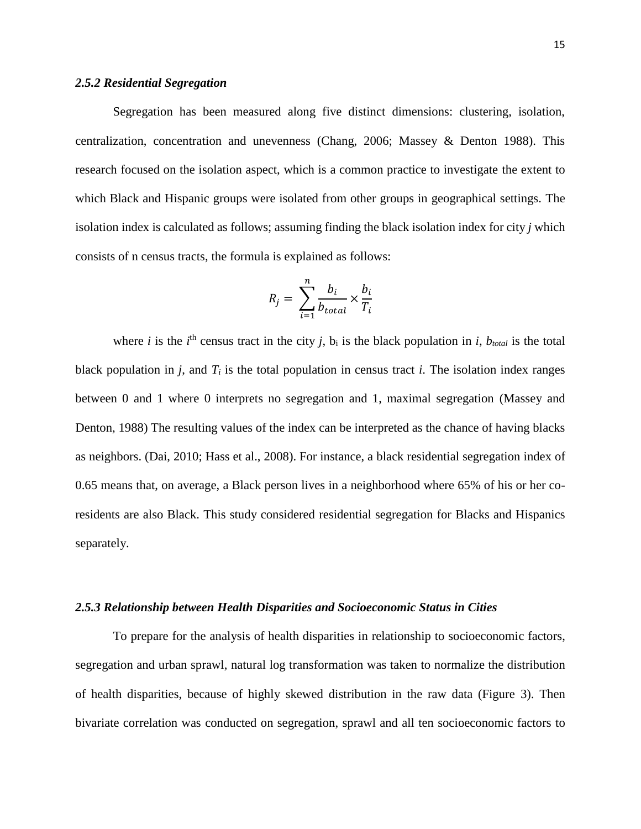#### <span id="page-26-0"></span>*2.5.2 Residential Segregation*

Segregation has been measured along five distinct dimensions: clustering, isolation, centralization, concentration and unevenness (Chang, 2006; Massey & Denton 1988). This research focused on the isolation aspect, which is a common practice to investigate the extent to which Black and Hispanic groups were isolated from other groups in geographical settings. The isolation index is calculated as follows; assuming finding the black isolation index for city *j* which consists of n census tracts, the formula is explained as follows:

$$
R_j = \sum_{i=1}^{n} \frac{b_i}{b_{total}} \times \frac{b_i}{T_i}
$$

where *i* is the  $i^{\text{th}}$  census tract in the city *j*,  $b_i$  is the black population in *i*,  $b_{total}$  is the total black population in *j*, and  $T_i$  is the total population in census tract *i*. The isolation index ranges between 0 and 1 where 0 interprets no segregation and 1, maximal segregation (Massey and Denton, 1988) The resulting values of the index can be interpreted as the chance of having blacks as neighbors. (Dai, 2010; Hass et al., 2008). For instance, a black residential segregation index of 0.65 means that, on average, a Black person lives in a neighborhood where 65% of his or her coresidents are also Black. This study considered residential segregation for Blacks and Hispanics separately.

#### <span id="page-26-1"></span>*2.5.3 Relationship between Health Disparities and Socioeconomic Status in Cities*

To prepare for the analysis of health disparities in relationship to socioeconomic factors, segregation and urban sprawl, natural log transformation was taken to normalize the distribution of health disparities, because of highly skewed distribution in the raw data (Figure 3). Then bivariate correlation was conducted on segregation, sprawl and all ten socioeconomic factors to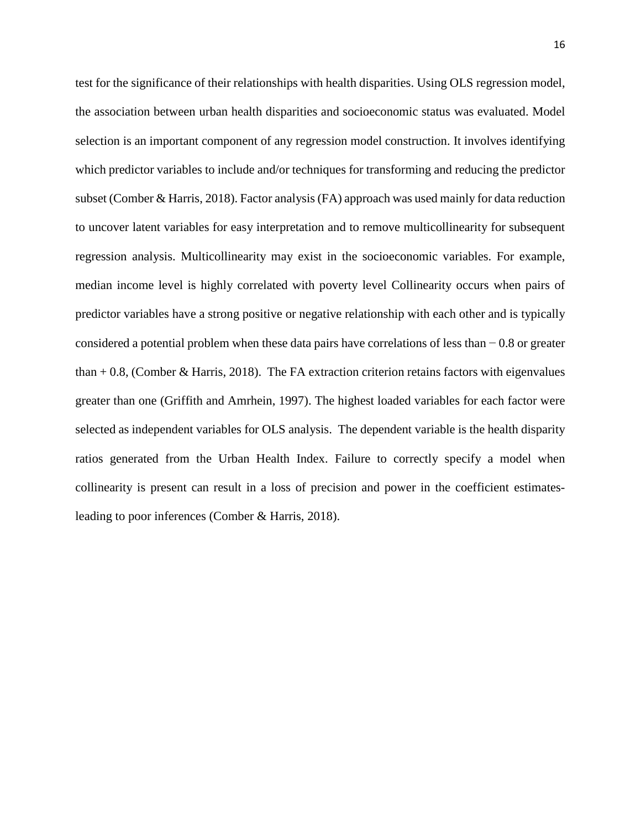test for the significance of their relationships with health disparities. Using OLS regression model, the association between urban health disparities and socioeconomic status was evaluated. Model selection is an important component of any regression model construction. It involves identifying which predictor variables to include and/or techniques for transforming and reducing the predictor subset [\(Comber & Harris, 2018\)](#page-47-5). Factor analysis (FA) approach was used mainly for data reduction to uncover latent variables for easy interpretation and to remove multicollinearity for subsequent regression analysis. Multicollinearity may exist in the socioeconomic variables. For example, median income level is highly correlated with poverty level Collinearity occurs when pairs of predictor variables have a strong positive or negative relationship with each other and is typically considered a potential problem when these data pairs have correlations of less than − 0.8 or greater than  $+$  0.8, [\(Comber & Harris, 2018\)](#page-47-5). The FA extraction criterion retains factors with eigenvalues greater than one (Griffith and Amrhein, 1997). The highest loaded variables for each factor were selected as independent variables for OLS analysis. The dependent variable is the health disparity ratios generated from the Urban Health Index. Failure to correctly specify a model when collinearity is present can result in a loss of precision and power in the coefficient estimatesleading to poor inferences [\(Comber & Harris, 2018\)](#page-47-5).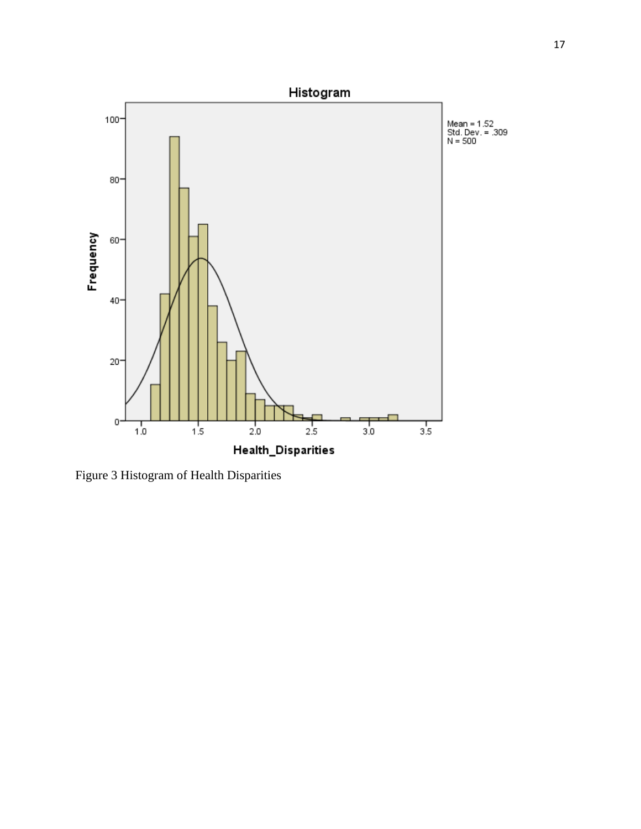

<span id="page-28-0"></span>Figure 3 Histogram of Health Disparities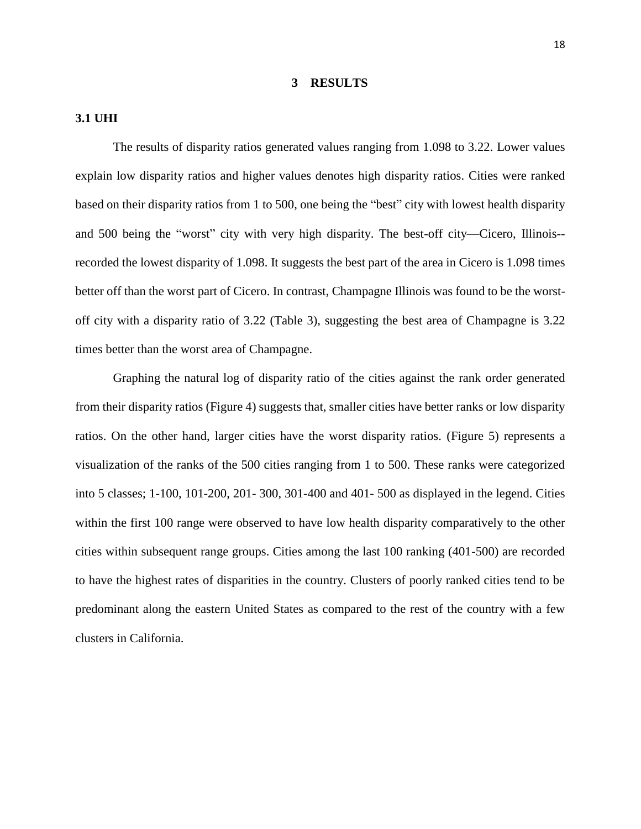#### **3 RESULTS**

#### <span id="page-29-1"></span><span id="page-29-0"></span>**3.1 UHI**

The results of disparity ratios generated values ranging from 1.098 to 3.22. Lower values explain low disparity ratios and higher values denotes high disparity ratios. Cities were ranked based on their disparity ratios from 1 to 500, one being the "best" city with lowest health disparity and 500 being the "worst" city with very high disparity. The best-off city—Cicero, Illinois- recorded the lowest disparity of 1.098. It suggests the best part of the area in Cicero is 1.098 times better off than the worst part of Cicero. In contrast, Champagne Illinois was found to be the worstoff city with a disparity ratio of 3.22 (Table 3), suggesting the best area of Champagne is 3.22 times better than the worst area of Champagne.

Graphing the natural log of disparity ratio of the cities against the rank order generated from their disparity ratios (Figure 4) suggests that, smaller cities have better ranks or low disparity ratios. On the other hand, larger cities have the worst disparity ratios. (Figure 5) represents a visualization of the ranks of the 500 cities ranging from 1 to 500. These ranks were categorized into 5 classes; 1-100, 101-200, 201- 300, 301-400 and 401- 500 as displayed in the legend. Cities within the first 100 range were observed to have low health disparity comparatively to the other cities within subsequent range groups. Cities among the last 100 ranking (401-500) are recorded to have the highest rates of disparities in the country. Clusters of poorly ranked cities tend to be predominant along the eastern United States as compared to the rest of the country with a few clusters in California.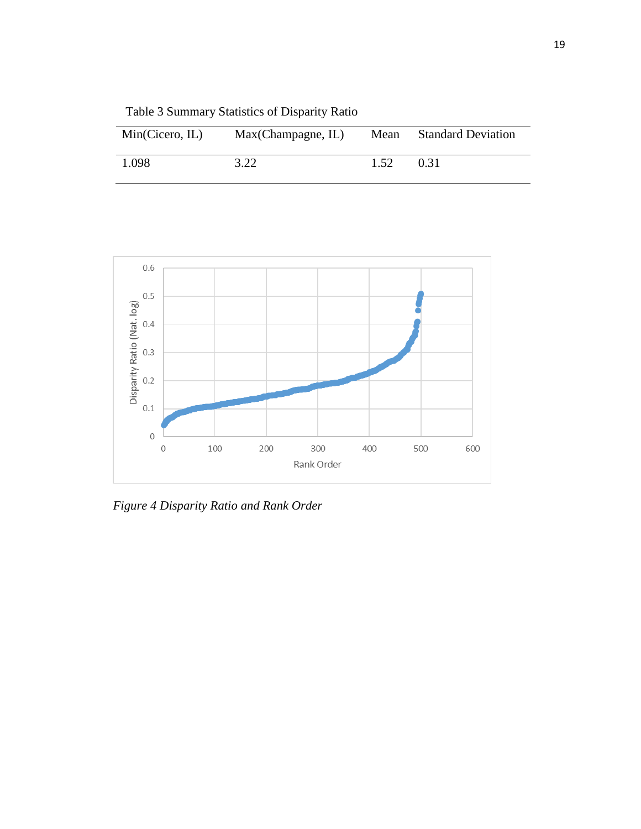<span id="page-30-0"></span>Table 3 Summary Statistics of Disparity Ratio

| Min(Cicero, IL) | Max(Champagne, IL) | Mean | <b>Standard Deviation</b> |
|-----------------|--------------------|------|---------------------------|
| 1.098           | 3.22               | 1.52 | 0.31                      |



<span id="page-30-1"></span>*Figure 4 Disparity Ratio and Rank Order*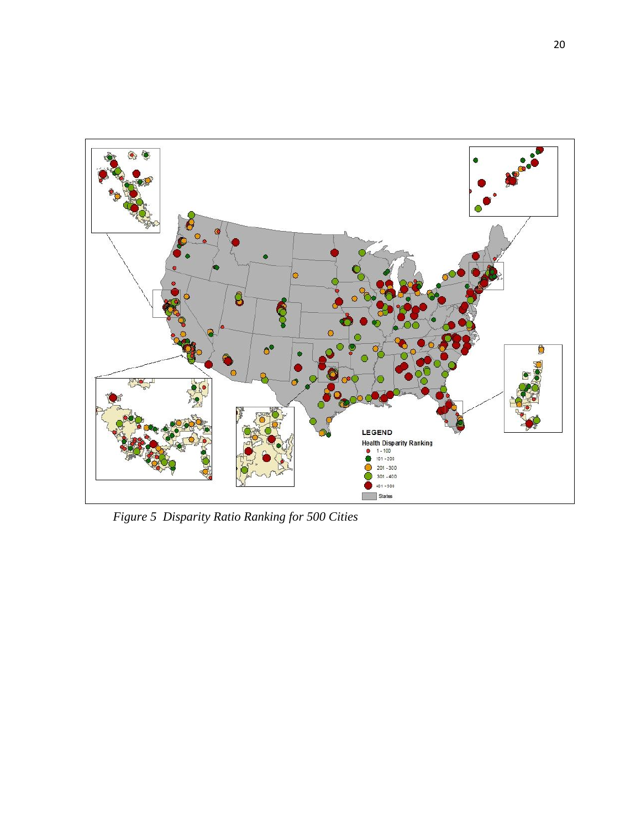

<span id="page-31-0"></span>*Figure 5 Disparity Ratio Ranking for 500 Cities*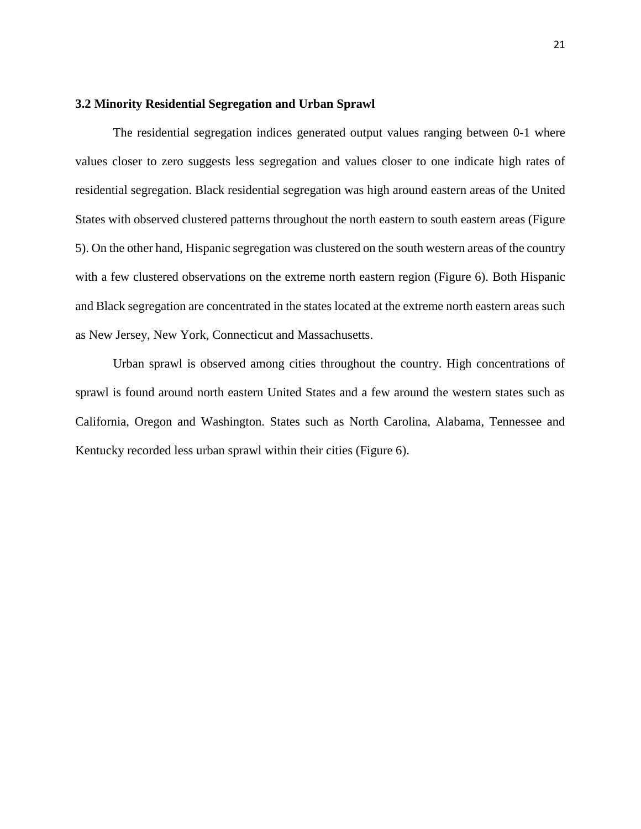### <span id="page-32-0"></span>**3.2 Minority Residential Segregation and Urban Sprawl**

The residential segregation indices generated output values ranging between 0-1 where values closer to zero suggests less segregation and values closer to one indicate high rates of residential segregation. Black residential segregation was high around eastern areas of the United States with observed clustered patterns throughout the north eastern to south eastern areas (Figure 5). On the other hand, Hispanic segregation was clustered on the south western areas of the country with a few clustered observations on the extreme north eastern region (Figure 6). Both Hispanic and Black segregation are concentrated in the states located at the extreme north eastern areas such as New Jersey, New York, Connecticut and Massachusetts.

Urban sprawl is observed among cities throughout the country. High concentrations of sprawl is found around north eastern United States and a few around the western states such as California, Oregon and Washington. States such as North Carolina, Alabama, Tennessee and Kentucky recorded less urban sprawl within their cities (Figure 6).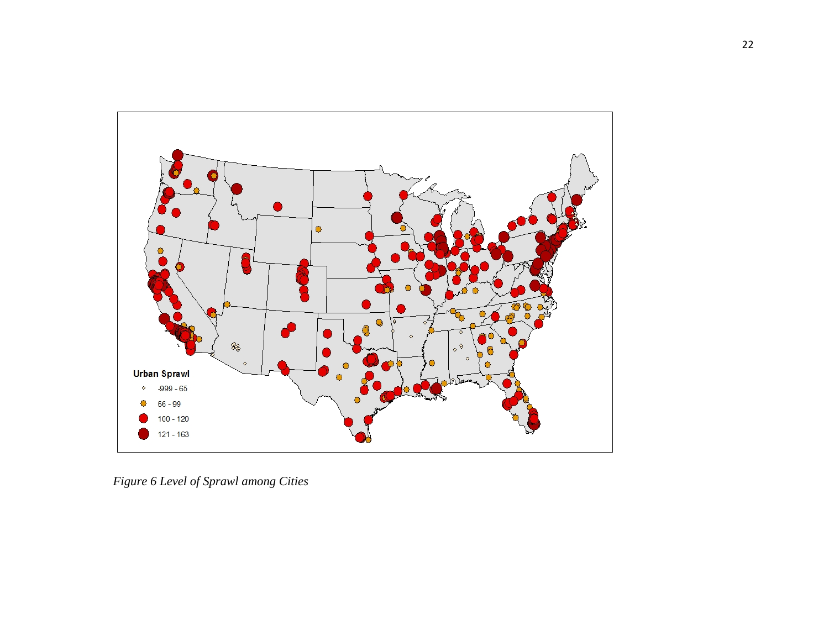

<span id="page-33-0"></span>*Figure 6 Level of Sprawl among Cities*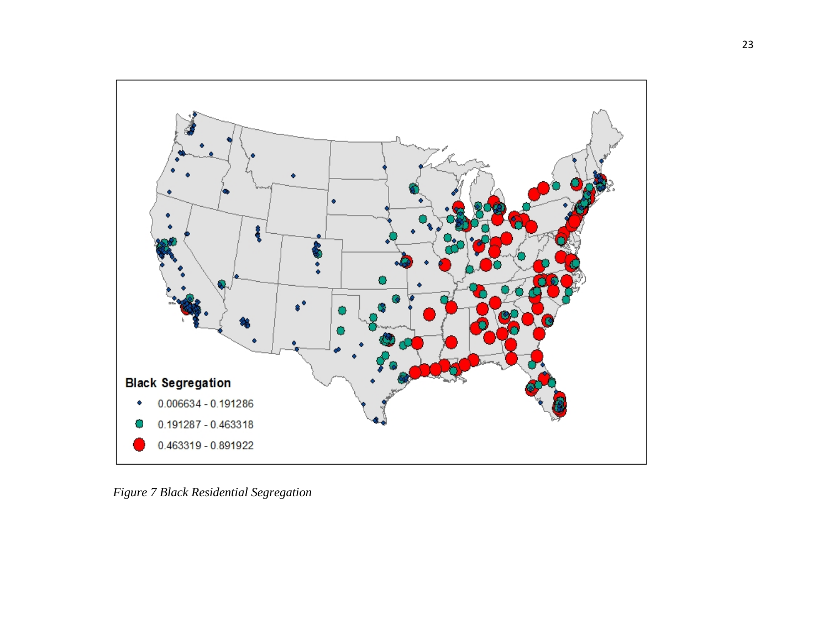

<span id="page-34-0"></span>*Figure 7 Black Residential Segregation*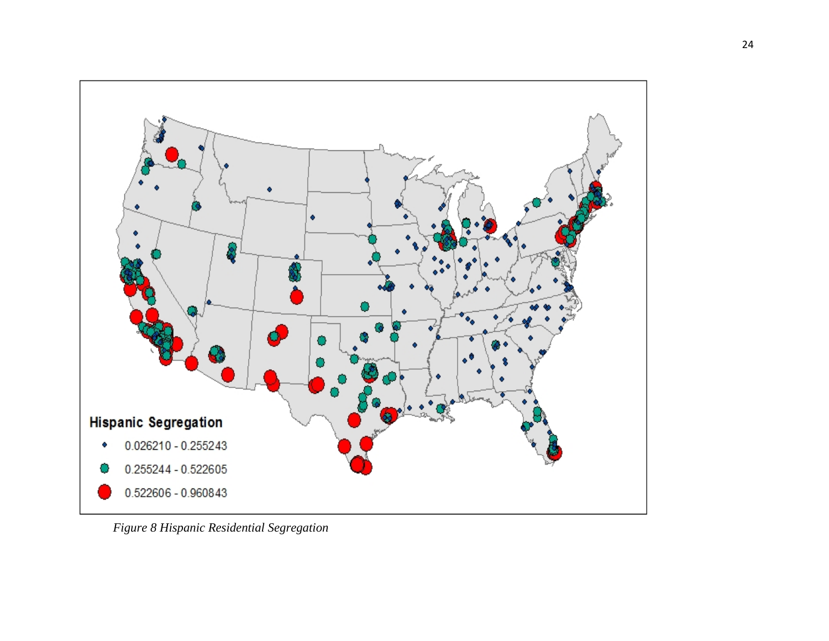

<span id="page-35-0"></span>*Figure 8 Hispanic Residential Segregation*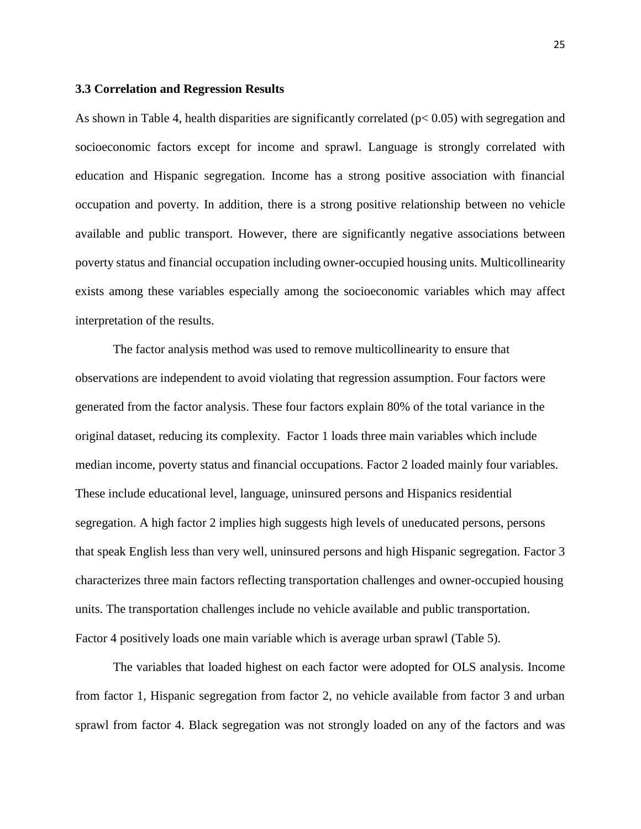#### <span id="page-36-0"></span>**3.3 Correlation and Regression Results**

As shown in Table 4, health disparities are significantly correlated  $(p< 0.05)$  with segregation and socioeconomic factors except for income and sprawl. Language is strongly correlated with education and Hispanic segregation. Income has a strong positive association with financial occupation and poverty. In addition, there is a strong positive relationship between no vehicle available and public transport. However, there are significantly negative associations between poverty status and financial occupation including owner-occupied housing units. Multicollinearity exists among these variables especially among the socioeconomic variables which may affect interpretation of the results.

The factor analysis method was used to remove multicollinearity to ensure that observations are independent to avoid violating that regression assumption. Four factors were generated from the factor analysis. These four factors explain 80% of the total variance in the original dataset, reducing its complexity. Factor 1 loads three main variables which include median income, poverty status and financial occupations. Factor 2 loaded mainly four variables. These include educational level, language, uninsured persons and Hispanics residential segregation. A high factor 2 implies high suggests high levels of uneducated persons, persons that speak English less than very well, uninsured persons and high Hispanic segregation. Factor 3 characterizes three main factors reflecting transportation challenges and owner-occupied housing units. The transportation challenges include no vehicle available and public transportation. Factor 4 positively loads one main variable which is average urban sprawl (Table 5).

The variables that loaded highest on each factor were adopted for OLS analysis. Income from factor 1, Hispanic segregation from factor 2, no vehicle available from factor 3 and urban sprawl from factor 4. Black segregation was not strongly loaded on any of the factors and was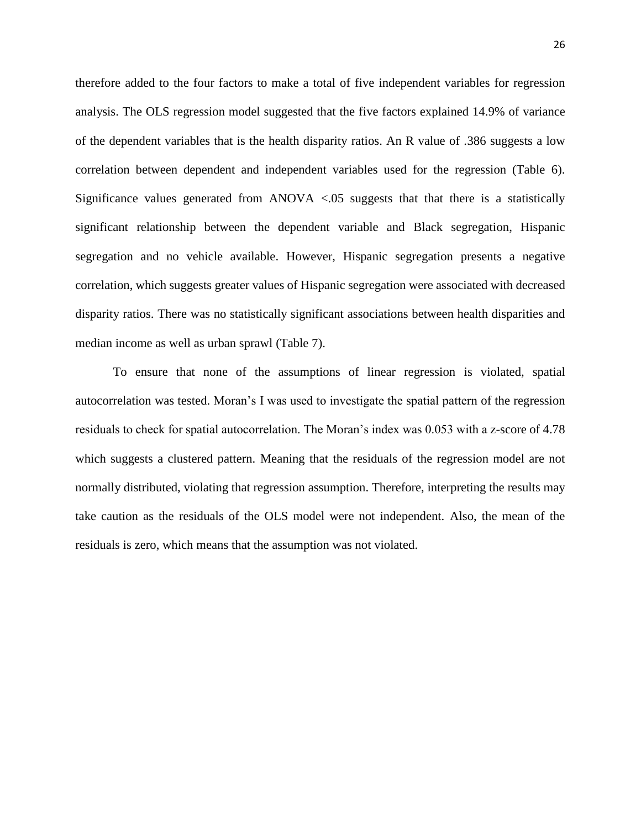therefore added to the four factors to make a total of five independent variables for regression analysis. The OLS regression model suggested that the five factors explained 14.9% of variance of the dependent variables that is the health disparity ratios. An R value of .386 suggests a low correlation between dependent and independent variables used for the regression (Table 6). Significance values generated from ANOVA  $\langle .05 \rangle$  suggests that that there is a statistically significant relationship between the dependent variable and Black segregation, Hispanic segregation and no vehicle available. However, Hispanic segregation presents a negative correlation, which suggests greater values of Hispanic segregation were associated with decreased disparity ratios. There was no statistically significant associations between health disparities and median income as well as urban sprawl (Table 7).

To ensure that none of the assumptions of linear regression is violated, spatial autocorrelation was tested. Moran's I was used to investigate the spatial pattern of the regression residuals to check for spatial autocorrelation. The Moran's index was 0.053 with a z-score of 4.78 which suggests a clustered pattern. Meaning that the residuals of the regression model are not normally distributed, violating that regression assumption. Therefore, interpreting the results may take caution as the residuals of the OLS model were not independent. Also, the mean of the residuals is zero, which means that the assumption was not violated.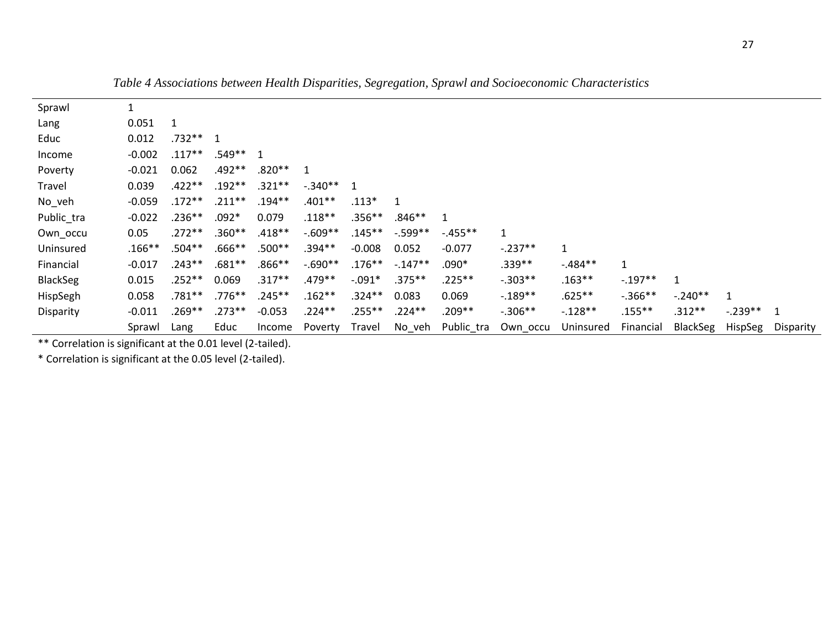| Sprawl          | 1        |           |           |           |            |           |              |            |              |             |              |           |              |           |
|-----------------|----------|-----------|-----------|-----------|------------|-----------|--------------|------------|--------------|-------------|--------------|-----------|--------------|-----------|
| Lang            | 0.051    |           |           |           |            |           |              |            |              |             |              |           |              |           |
| Educ            | 0.012    | .732**    | 1         |           |            |           |              |            |              |             |              |           |              |           |
| Income          | $-0.002$ | $.117***$ | .549**    | 1         |            |           |              |            |              |             |              |           |              |           |
| Poverty         | $-0.021$ | 0.062     | $.492**$  | $.820**$  | 1          |           |              |            |              |             |              |           |              |           |
| Travel          | 0.039    | $.422**$  | $.192**$  | $.321***$ | $-.340**$  | -1        |              |            |              |             |              |           |              |           |
| No_veh          | $-0.059$ | $.172**$  | $.211***$ | $.194***$ | $.401**$   | $.113*$   | $\mathbf{1}$ |            |              |             |              |           |              |           |
| Public_tra      | $-0.022$ | $.236**$  | $.092*$   | 0.079     | $.118**$   | $.356**$  | $.846**$     |            |              |             |              |           |              |           |
| Own occu        | 0.05     | $.272**$  | $.360**$  | $.418**$  | $-0.609**$ | $.145***$ | $-0.599**$   | $-455**$   | $\mathbf{1}$ |             |              |           |              |           |
| Uninsured       | $.166**$ | $.504**$  | $.666**$  | $.500**$  | $.394**$   | $-0.008$  | 0.052        | $-0.077$   | $-.237**$    | $\mathbf 1$ |              |           |              |           |
| Financial       | $-0.017$ | $.243**$  | $.681***$ | $.866***$ | $-.690**$  | $.176***$ | $-.147**$    | $.090*$    | .339**       | $-.484**$   | $\mathbf{1}$ |           |              |           |
| <b>BlackSeg</b> | 0.015    | $.252**$  | 0.069     | $.317***$ | .479 **    | $-.091*$  | $.375***$    | $.225***$  | $-.303**$    | $.163***$   | $-.197**$    |           |              |           |
| HispSegh        | 0.058    | $.781***$ | $.776**$  | $.245***$ | $.162**$   | $.324**$  | 0.083        | 0.069      | $-189**$     | $.625**$    | $-.366**$    | $-.240**$ | $\mathbf{1}$ |           |
| Disparity       | $-0.011$ | $.269***$ | $.273**$  | $-0.053$  | $.224**$   | $.255***$ | $.224**$     | $.209**$   | $-.306**$    | $-.128**$   | $.155***$    | $.312**$  | $-.239**$    | 1         |
|                 | Sprawl   | Lang      | Educ      | Income    | Poverty    | Travel    | No veh       | Public_tra | Own_occu     | Uninsured   | Financial    | BlackSeg  | HispSeg      | Disparity |

*Table 4 Associations between Health Disparities, Segregation, Sprawl and Socioeconomic Characteristics*

<span id="page-38-0"></span>\*\* Correlation is significant at the 0.01 level (2-tailed).

\* Correlation is significant at the 0.05 level (2-tailed).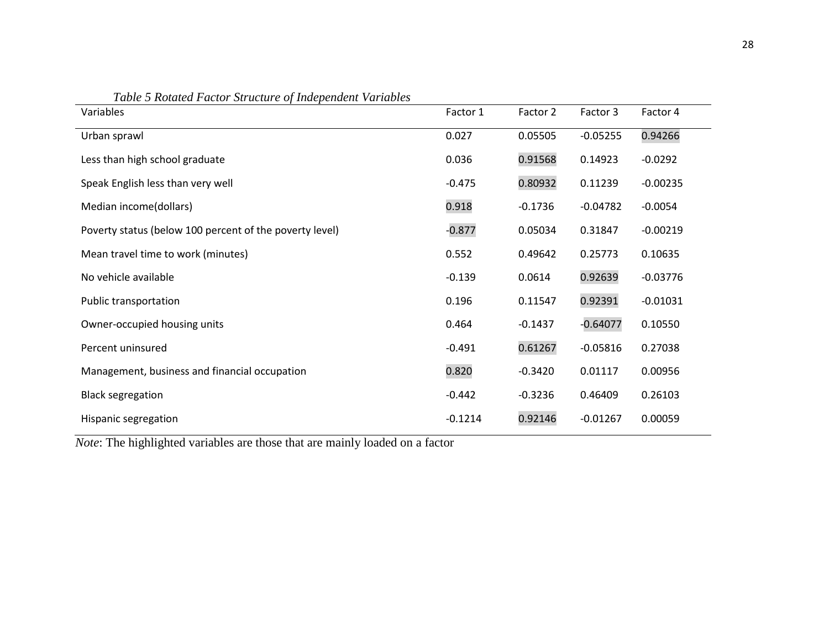| Variables                                               | Factor 1  | Factor 2  | Factor 3   | Factor 4   |
|---------------------------------------------------------|-----------|-----------|------------|------------|
| Urban sprawl                                            | 0.027     | 0.05505   | $-0.05255$ | 0.94266    |
| Less than high school graduate                          | 0.036     | 0.91568   | 0.14923    | $-0.0292$  |
| Speak English less than very well                       | $-0.475$  | 0.80932   | 0.11239    | $-0.00235$ |
| Median income(dollars)                                  | 0.918     | $-0.1736$ | $-0.04782$ | $-0.0054$  |
| Poverty status (below 100 percent of the poverty level) | $-0.877$  | 0.05034   | 0.31847    | $-0.00219$ |
| Mean travel time to work (minutes)                      | 0.552     | 0.49642   | 0.25773    | 0.10635    |
| No vehicle available                                    | $-0.139$  | 0.0614    | 0.92639    | $-0.03776$ |
| Public transportation                                   | 0.196     | 0.11547   | 0.92391    | $-0.01031$ |
| Owner-occupied housing units                            | 0.464     | $-0.1437$ | $-0.64077$ | 0.10550    |
| Percent uninsured                                       | $-0.491$  | 0.61267   | $-0.05816$ | 0.27038    |
| Management, business and financial occupation           | 0.820     | $-0.3420$ | 0.01117    | 0.00956    |
| <b>Black segregation</b>                                | $-0.442$  | $-0.3236$ | 0.46409    | 0.26103    |
| Hispanic segregation                                    | $-0.1214$ | 0.92146   | $-0.01267$ | 0.00059    |

*Table 5 Rotated Factor Structure of Independent Variables*

<span id="page-39-0"></span>*Note*: The highlighted variables are those that are mainly loaded on a factor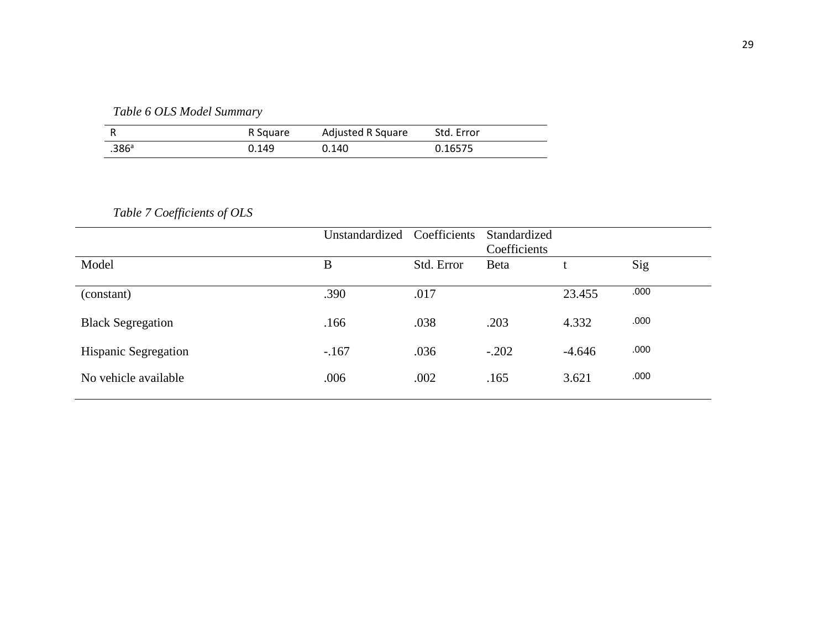# *Table 6 OLS Model Summary*

|                   | R Square | Adjusted R Square | Std. Error |
|-------------------|----------|-------------------|------------|
| .386 <sup>a</sup> | 0.149    | 0.140             | 0.16575    |

*Table 7 Coefficients of OLS*

<span id="page-40-1"></span><span id="page-40-0"></span>

|                             | Unstandardized | Coefficients | Standardized<br>Coefficients |          |      |
|-----------------------------|----------------|--------------|------------------------------|----------|------|
| Model                       | B              | Std. Error   | Beta                         |          | Sig  |
| (constant)                  | .390           | .017         |                              | 23.455   | .000 |
| <b>Black Segregation</b>    | .166           | .038         | .203                         | 4.332    | .000 |
| <b>Hispanic Segregation</b> | $-.167$        | .036         | $-.202$                      | $-4.646$ | .000 |
| No vehicle available        | .006           | .002         | .165                         | 3.621    | .000 |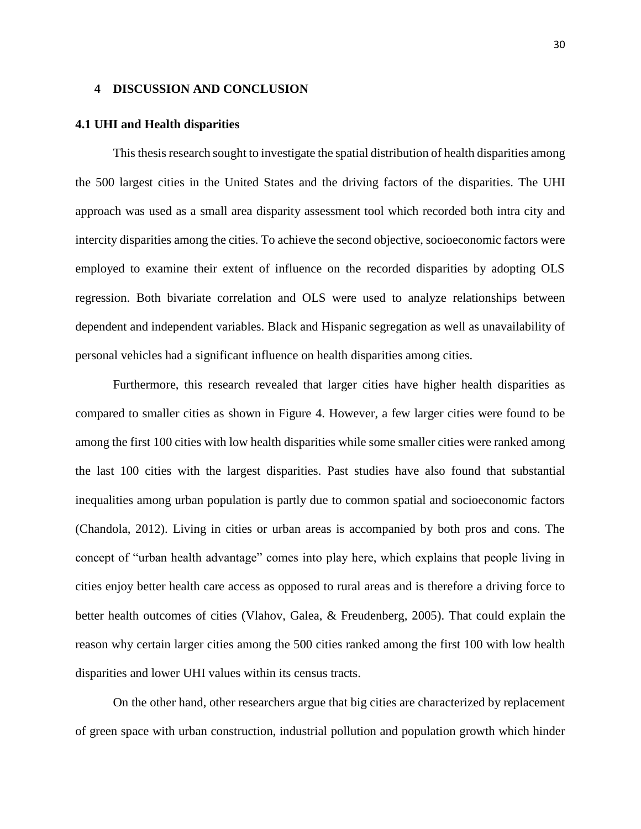#### <span id="page-41-0"></span>**4 DISCUSSION AND CONCLUSION**

#### <span id="page-41-1"></span>**4.1 UHI and Health disparities**

This thesis research sought to investigate the spatial distribution of health disparities among the 500 largest cities in the United States and the driving factors of the disparities. The UHI approach was used as a small area disparity assessment tool which recorded both intra city and intercity disparities among the cities. To achieve the second objective, socioeconomic factors were employed to examine their extent of influence on the recorded disparities by adopting OLS regression. Both bivariate correlation and OLS were used to analyze relationships between dependent and independent variables. Black and Hispanic segregation as well as unavailability of personal vehicles had a significant influence on health disparities among cities.

Furthermore, this research revealed that larger cities have higher health disparities as compared to smaller cities as shown in Figure 4. However, a few larger cities were found to be among the first 100 cities with low health disparities while some smaller cities were ranked among the last 100 cities with the largest disparities. Past studies have also found that substantial inequalities among urban population is partly due to common spatial and socioeconomic factors [\(Chandola, 2012\)](#page-46-3). Living in cities or urban areas is accompanied by both pros and cons. The concept of "urban health advantage" comes into play here, which explains that people living in cities enjoy better health care access as opposed to rural areas and is therefore a driving force to better health outcomes of cities [\(Vlahov, Galea, & Freudenberg, 2005\)](#page-51-1). That could explain the reason why certain larger cities among the 500 cities ranked among the first 100 with low health disparities and lower UHI values within its census tracts.

On the other hand, other researchers argue that big cities are characterized by replacement of green space with urban construction, industrial pollution and population growth which hinder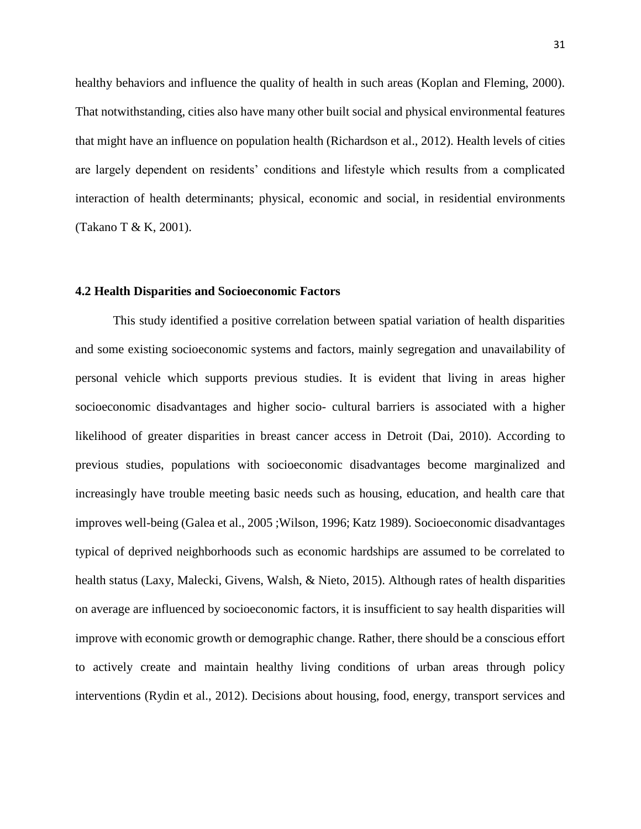healthy behaviors and influence the quality of health in such areas (Koplan and Fleming, 2000). That notwithstanding, cities also have many other built social and physical environmental features that might have an influence on population health [\(Richardson et al., 2012\)](#page-49-0). Health levels of cities are largely dependent on residents' conditions and lifestyle which results from a complicated interaction of health determinants; physical, economic and social, in residential environments [\(Takano T & K, 2001\)](#page-50-1).

#### <span id="page-42-0"></span>**4.2 Health Disparities and Socioeconomic Factors**

This study identified a positive correlation between spatial variation of health disparities and some existing socioeconomic systems and factors, mainly segregation and unavailability of personal vehicle which supports previous studies. It is evident that living in areas higher socioeconomic disadvantages and higher socio- cultural barriers is associated with a higher likelihood of greater disparities in breast cancer access in Detroit [\(Dai, 2010\)](#page-47-1). According to previous studies, populations with socioeconomic disadvantages become marginalized and increasingly have trouble meeting basic needs such as housing, education, and health care that improves well-being [\(Galea et al., 2005](#page-46-3) ;Wilson, 1996; Katz 1989). Socioeconomic disadvantages typical of deprived neighborhoods such as economic hardships are assumed to be correlated to health status [\(Laxy, Malecki, Givens, Walsh, & Nieto, 2015\)](#page-48-2). Although rates of health disparities on average are influenced by socioeconomic factors, it is insufficient to say health disparities will improve with economic growth or demographic change. Rather, there should be a conscious effort to actively create and maintain healthy living conditions of urban areas through policy interventions [\(Rydin et al., 2012\)](#page-50-2). Decisions about housing, food, energy, transport services and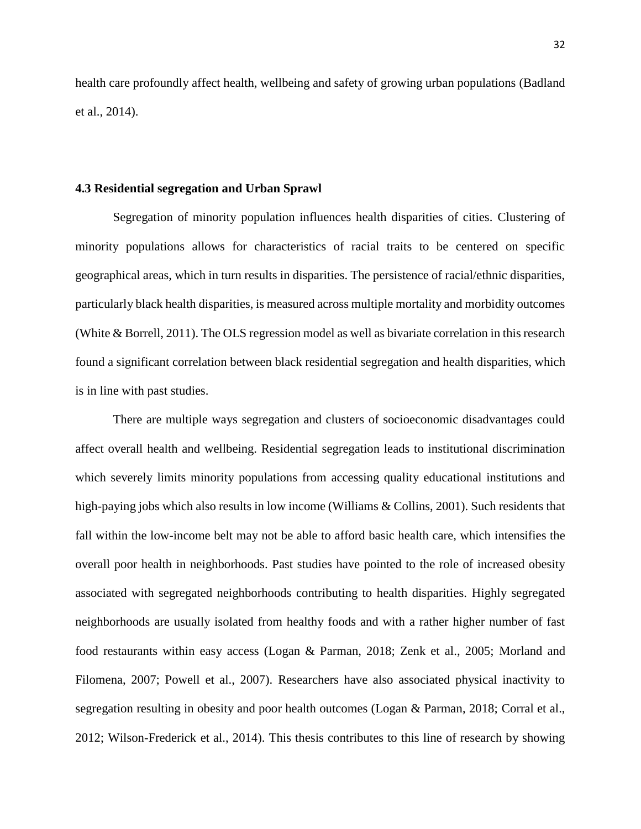health care profoundly affect health, wellbeing and safety of growing urban populations [\(Badland](#page-46-4)  [et al., 2014\)](#page-46-4).

#### <span id="page-43-0"></span>**4.3 Residential segregation and Urban Sprawl**

Segregation of minority population influences health disparities of cities. Clustering of minority populations allows for characteristics of racial traits to be centered on specific geographical areas, which in turn results in disparities. The persistence of racial/ethnic disparities, particularly black health disparities, is measured across multiple mortality and morbidity outcomes [\(White & Borrell, 2011\)](#page-51-0). The OLS regression model as well as bivariate correlation in this research found a significant correlation between black residential segregation and health disparities, which is in line with past studies.

There are multiple ways segregation and clusters of socioeconomic disadvantages could affect overall health and wellbeing. Residential segregation leads to institutional discrimination which severely limits minority populations from accessing quality educational institutions and high-paying jobs which also results in low income [\(Williams & Collins, 2001\)](#page-51-2). Such residents that fall within the low-income belt may not be able to afford basic health care, which intensifies the overall poor health in neighborhoods. Past studies have pointed to the role of increased obesity associated with segregated neighborhoods contributing to health disparities. Highly segregated neighborhoods are usually isolated from healthy foods and with a rather higher number of fast food restaurants within easy access (Logan & Parman, 2018; Zenk et al., 2005; Morland and Filomena, 2007; Powell et al., 2007). Researchers have also associated physical inactivity to segregation resulting in obesity and poor health outcomes (Logan & Parman, 2018; Corral et al., 2012; Wilson-Frederick et al., 2014). This thesis contributes to this line of research by showing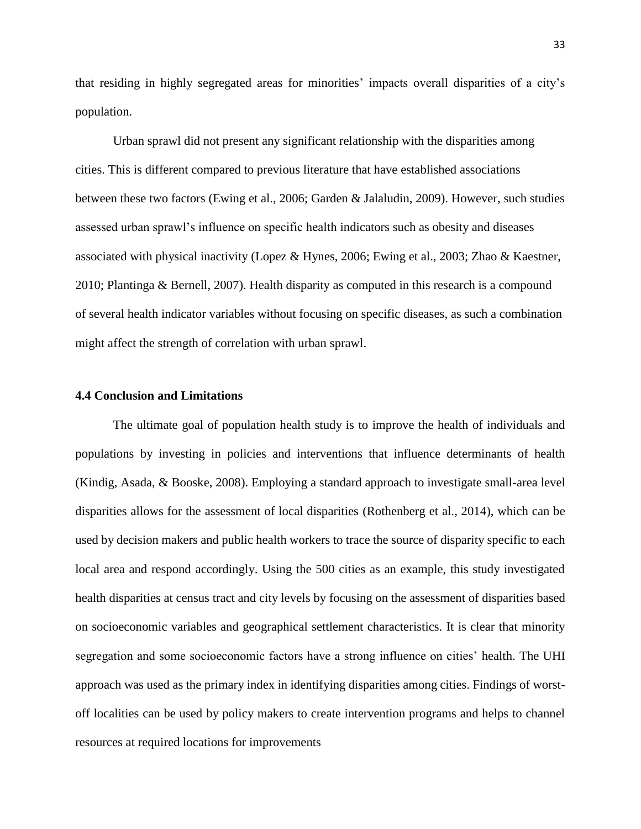that residing in highly segregated areas for minorities' impacts overall disparities of a city's population.

Urban sprawl did not present any significant relationship with the disparities among cities. This is different compared to previous literature that have established associations between these two factors (Ewing et al., 2006; Garden & Jalaludin, 2009). However, such studies assessed urban sprawl's influence on specific health indicators such as obesity and diseases associated with physical inactivity (Lopez & Hynes, 2006; Ewing et al., 2003; Zhao & Kaestner, 2010; Plantinga & Bernell, 2007). Health disparity as computed in this research is a compound of several health indicator variables without focusing on specific diseases, as such a combination might affect the strength of correlation with urban sprawl.

#### <span id="page-44-0"></span>**4.4 Conclusion and Limitations**

The ultimate goal of population health study is to improve the health of individuals and populations by investing in policies and interventions that influence determinants of health [\(Kindig, Asada, & Booske, 2008\)](#page-48-3). Employing a standard approach to investigate small-area level disparities allows for the assessment of local disparities [\(Rothenberg et al., 2014\)](#page-50-4), which can be used by decision makers and public health workers to trace the source of disparity specific to each local area and respond accordingly. Using the 500 cities as an example, this study investigated health disparities at census tract and city levels by focusing on the assessment of disparities based on socioeconomic variables and geographical settlement characteristics. It is clear that minority segregation and some socioeconomic factors have a strong influence on cities' health. The UHI approach was used as the primary index in identifying disparities among cities. Findings of worstoff localities can be used by policy makers to create intervention programs and helps to channel resources at required locations for improvements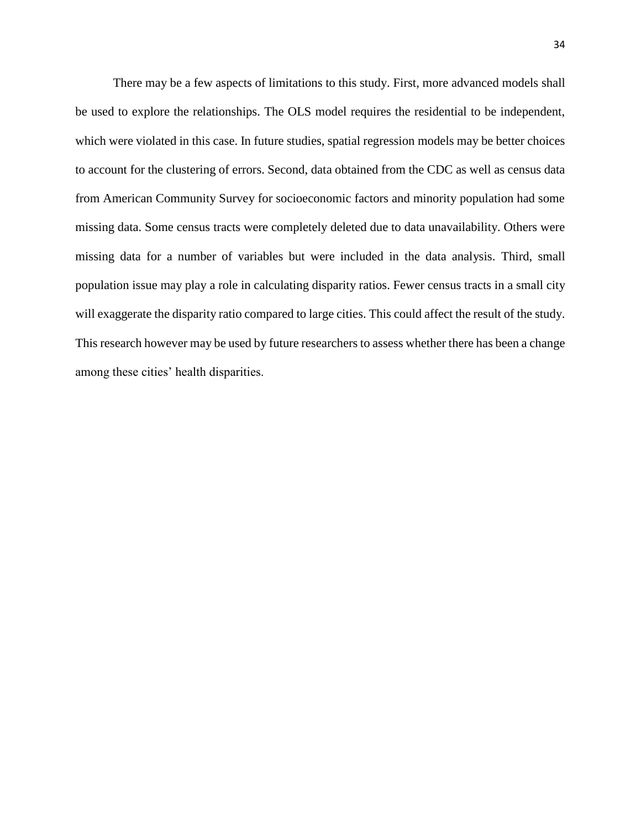There may be a few aspects of limitations to this study. First, more advanced models shall be used to explore the relationships. The OLS model requires the residential to be independent, which were violated in this case. In future studies, spatial regression models may be better choices to account for the clustering of errors. Second, data obtained from the CDC as well as census data from American Community Survey for socioeconomic factors and minority population had some missing data. Some census tracts were completely deleted due to data unavailability. Others were missing data for a number of variables but were included in the data analysis. Third, small population issue may play a role in calculating disparity ratios. Fewer census tracts in a small city will exaggerate the disparity ratio compared to large cities. This could affect the result of the study. This research however may be used by future researchers to assess whether there has been a change among these cities' health disparities.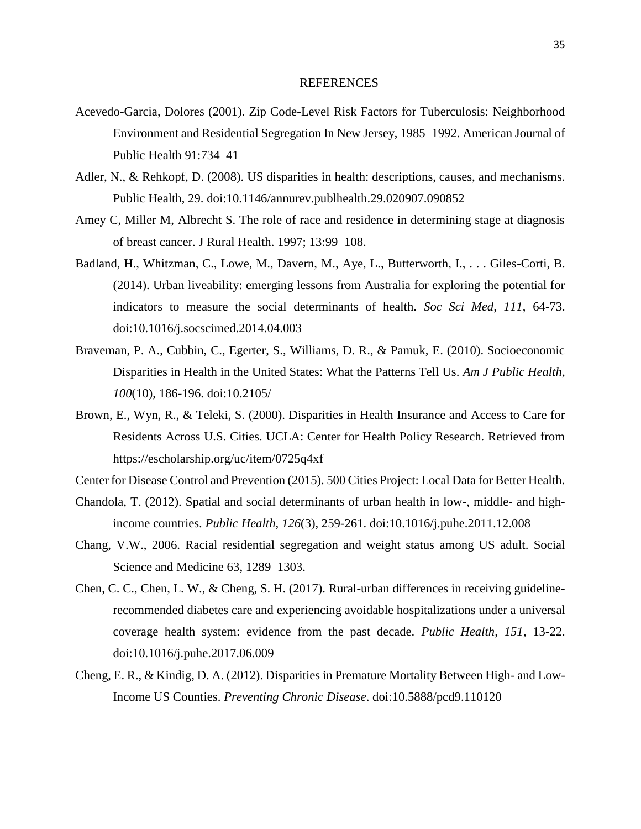#### REFERENCES

- Acevedo-Garcia, Dolores (2001). Zip Code-Level Risk Factors for Tuberculosis: Neighborhood Environment and Residential Segregation In New Jersey, 1985–1992. American Journal of Public Health 91:734–41
- Adler, N., & Rehkopf, D. (2008). US disparities in health: descriptions, causes, and mechanisms. Public Health, 29. doi:10.1146/annurev.publhealth.29.020907.090852
- Amey C, Miller M, Albrecht S. The role of race and residence in determining stage at diagnosis of breast cancer. J Rural Health. 1997; 13:99–108.
- <span id="page-46-4"></span>Badland, H., Whitzman, C., Lowe, M., Davern, M., Aye, L., Butterworth, I., . . . Giles-Corti, B. (2014). Urban liveability: emerging lessons from Australia for exploring the potential for indicators to measure the social determinants of health. *Soc Sci Med, 111*, 64-73. doi:10.1016/j.socscimed.2014.04.003
- <span id="page-46-1"></span>Braveman, P. A., Cubbin, C., Egerter, S., Williams, D. R., & Pamuk, E. (2010). Socioeconomic Disparities in Health in the United States: What the Patterns Tell Us. *Am J Public Health, 100*(10), 186-196. doi:10.2105/
- Brown, E., Wyn, R., & Teleki, S. (2000). Disparities in Health Insurance and Access to Care for Residents Across U.S. Cities. UCLA: Center for Health Policy Research. Retrieved from https://escholarship.org/uc/item/0725q4xf
- Center for Disease Control and Prevention (2015). 500 Cities Project: Local Data for Better Health.
- <span id="page-46-3"></span>Chandola, T. (2012). Spatial and social determinants of urban health in low-, middle- and highincome countries. *Public Health, 126*(3), 259-261. doi:10.1016/j.puhe.2011.12.008
- Chang, V.W., 2006. Racial residential segregation and weight status among US adult. Social Science and Medicine 63, 1289–1303.
- <span id="page-46-0"></span>Chen, C. C., Chen, L. W., & Cheng, S. H. (2017). Rural-urban differences in receiving guidelinerecommended diabetes care and experiencing avoidable hospitalizations under a universal coverage health system: evidence from the past decade. *Public Health, 151*, 13-22. doi:10.1016/j.puhe.2017.06.009
- <span id="page-46-2"></span>Cheng, E. R., & Kindig, D. A. (2012). Disparities in Premature Mortality Between High- and Low-Income US Counties. *Preventing Chronic Disease*. doi:10.5888/pcd9.110120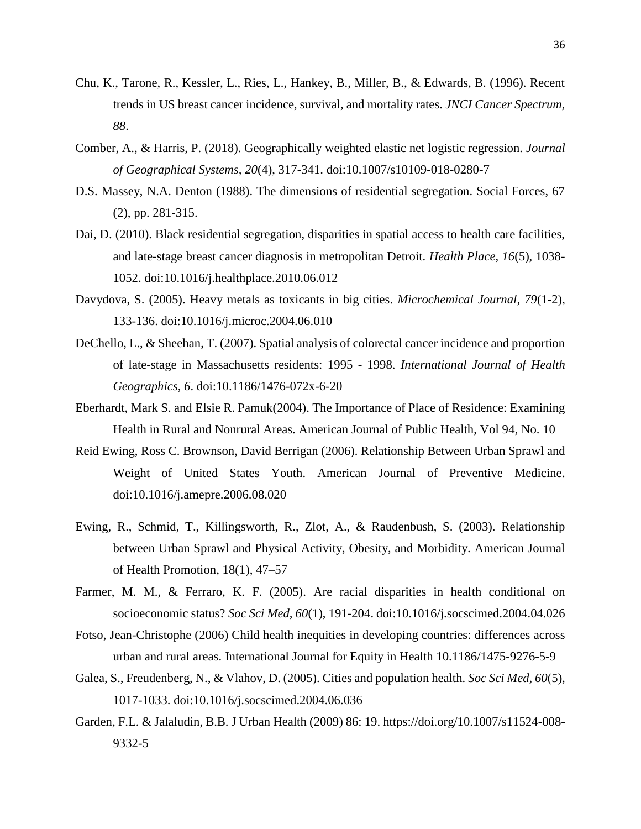- <span id="page-47-2"></span>Chu, K., Tarone, R., Kessler, L., Ries, L., Hankey, B., Miller, B., & Edwards, B. (1996). Recent trends in US breast cancer incidence, survival, and mortality rates. *JNCI Cancer Spectrum, 88*.
- <span id="page-47-5"></span>Comber, A., & Harris, P. (2018). Geographically weighted elastic net logistic regression. *Journal of Geographical Systems, 20*(4), 317-341. doi:10.1007/s10109-018-0280-7
- D.S. Massey, N.A. Denton (1988). The dimensions of residential segregation. Social Forces, 67 (2), pp. 281-315.
- <span id="page-47-1"></span>Dai, D. (2010). Black residential segregation, disparities in spatial access to health care facilities, and late-stage breast cancer diagnosis in metropolitan Detroit. *Health Place, 16*(5), 1038- 1052. doi:10.1016/j.healthplace.2010.06.012
- Davydova, S. (2005). Heavy metals as toxicants in big cities. *Microchemical Journal, 79*(1-2), 133-136. doi:10.1016/j.microc.2004.06.010
- <span id="page-47-0"></span>DeChello, L., & Sheehan, T. (2007). Spatial analysis of colorectal cancer incidence and proportion of late-stage in Massachusetts residents: 1995 - 1998. *International Journal of Health Geographics, 6*. doi:10.1186/1476-072x-6-20
- Eberhardt, Mark S. and Elsie R. Pamuk(2004). The Importance of Place of Residence: Examining Health in Rural and Nonrural Areas. American Journal of Public Health, Vol 94, No. 10
- Reid Ewing, Ross C. Brownson, David Berrigan (2006). Relationship Between Urban Sprawl and Weight of United States Youth. American Journal of Preventive Medicine. doi:10.1016/j.amepre.2006.08.020
- Ewing, R., Schmid, T., Killingsworth, R., Zlot, A., & Raudenbush, S. (2003). Relationship between Urban Sprawl and Physical Activity, Obesity, and Morbidity. American Journal of Health Promotion, 18(1), 47–57
- <span id="page-47-3"></span>Farmer, M. M., & Ferraro, K. F. (2005). Are racial disparities in health conditional on socioeconomic status? *Soc Sci Med, 60*(1), 191-204. doi:10.1016/j.socscimed.2004.04.026
- Fotso, Jean-Christophe (2006) Child health inequities in developing countries: differences across urban and rural areas. International Journal for Equity in Health 10.1186/1475-9276-5-9
- <span id="page-47-4"></span>Galea, S., Freudenberg, N., & Vlahov, D. (2005). Cities and population health. *Soc Sci Med, 60*(5), 1017-1033. doi:10.1016/j.socscimed.2004.06.036
- Garden, F.L. & Jalaludin, B.B. J Urban Health (2009) 86: 19. https://doi.org/10.1007/s11524-008- 9332-5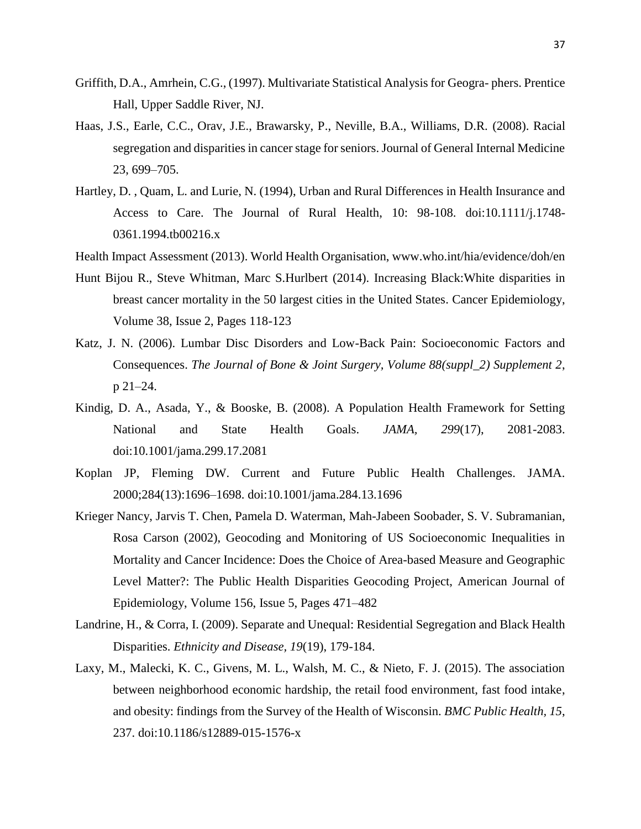- Griffith, D.A., Amrhein, C.G., (1997). Multivariate Statistical Analysis for Geogra- phers. Prentice Hall, Upper Saddle River, NJ.
- Haas, J.S., Earle, C.C., Orav, J.E., Brawarsky, P., Neville, B.A., Williams, D.R. (2008). Racial segregation and disparities in cancer stage for seniors. Journal of General Internal Medicine 23, 699–705.
- Hartley, D. , Quam, L. and Lurie, N. (1994), Urban and Rural Differences in Health Insurance and Access to Care. The Journal of Rural Health, 10: 98-108. doi:10.1111/j.1748- 0361.1994.tb00216.x
- Health Impact Assessment (2013). World Health Organisation, www.who.int/hia/evidence/doh/en
- Hunt Bijou R., Steve Whitman, Marc S.Hurlbert (2014). Increasing Black:White disparities in breast cancer mortality in the 50 largest cities in the United States. Cancer Epidemiology, Volume 38, Issue 2, Pages 118-123
- <span id="page-48-0"></span>Katz, J. N. (2006). Lumbar Disc Disorders and Low-Back Pain: Socioeconomic Factors and Consequences. *The Journal of Bone & Joint Surgery, Volume 88(suppl\_2) Supplement 2*, p 21–24.
- <span id="page-48-3"></span>Kindig, D. A., Asada, Y., & Booske, B. (2008). A Population Health Framework for Setting National and State Health Goals. *JAMA, 299*(17), 2081-2083. doi:10.1001/jama.299.17.2081
- Koplan JP, Fleming DW. Current and Future Public Health Challenges. JAMA. 2000;284(13):1696–1698. doi:10.1001/jama.284.13.1696
- Krieger Nancy, Jarvis T. Chen, Pamela D. Waterman, Mah-Jabeen Soobader, S. V. Subramanian, Rosa Carson (2002), Geocoding and Monitoring of US Socioeconomic Inequalities in Mortality and Cancer Incidence: Does the Choice of Area-based Measure and Geographic Level Matter?: The Public Health Disparities Geocoding Project, American Journal of Epidemiology, Volume 156, Issue 5, Pages 471–482
- <span id="page-48-1"></span>Landrine, H., & Corra, I. (2009). Separate and Unequal: Residential Segregation and Black Health Disparities. *Ethnicity and Disease, 19*(19), 179-184.
- <span id="page-48-2"></span>Laxy, M., Malecki, K. C., Givens, M. L., Walsh, M. C., & Nieto, F. J. (2015). The association between neighborhood economic hardship, the retail food environment, fast food intake, and obesity: findings from the Survey of the Health of Wisconsin. *BMC Public Health, 15*, 237. doi:10.1186/s12889-015-1576-x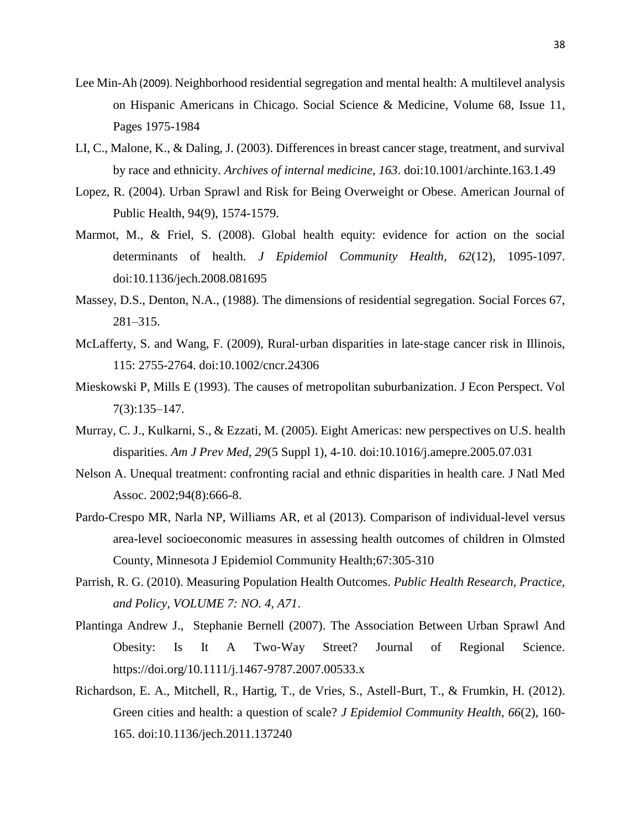- Lee Min-Ah (2009). Neighborhood residential segregation and mental health: A multilevel analysis on Hispanic Americans in Chicago. Social Science & Medicine, Volume 68, Issue 11, Pages 1975-1984
- <span id="page-49-2"></span>LI, C., Malone, K., & Daling, J. (2003). Differences in breast cancer stage, treatment, and survival by race and ethnicity. *Archives of internal medicine, 163*. doi:10.1001/archinte.163.1.49
- Lopez, R. (2004). Urban Sprawl and Risk for Being Overweight or Obese. American Journal of Public Health, 94(9), 1574-1579.
- Marmot, M., & Friel, S. (2008). Global health equity: evidence for action on the social determinants of health. *J Epidemiol Community Health, 62*(12), 1095-1097. doi:10.1136/jech.2008.081695
- Massey, D.S., Denton, N.A., (1988). The dimensions of residential segregation. Social Forces 67, 281–315.
- McLafferty, S. and Wang, F. (2009), Rural‐urban disparities in late‐stage cancer risk in Illinois, 115: 2755-2764. doi:10.1002/cncr.24306
- Mieskowski P, Mills E (1993). The causes of metropolitan suburbanization. J Econ Perspect. Vol 7(3):135–147.
- <span id="page-49-3"></span>Murray, C. J., Kulkarni, S., & Ezzati, M. (2005). Eight Americas: new perspectives on U.S. health disparities. *Am J Prev Med, 29*(5 Suppl 1), 4-10. doi:10.1016/j.amepre.2005.07.031
- Nelson A. Unequal treatment: confronting racial and ethnic disparities in health care. J Natl Med Assoc. 2002;94(8):666-8.
- Pardo-Crespo MR, Narla NP, Williams AR, et al (2013). Comparison of individual-level versus area-level socioeconomic measures in assessing health outcomes of children in Olmsted County, Minnesota J Epidemiol Community Health;67:305-310
- <span id="page-49-1"></span>Parrish, R. G. (2010). Measuring Population Health Outcomes. *Public Health Research, Practice, and Policy, VOLUME 7: NO. 4, A71*.
- Plantinga Andrew J., Stephanie Bernell (2007). The Association Between Urban Sprawl And Obesity: Is It A Two‐Way Street? Journal of Regional Science. https://doi.org/10.1111/j.1467-9787.2007.00533.x
- <span id="page-49-0"></span>Richardson, E. A., Mitchell, R., Hartig, T., de Vries, S., Astell-Burt, T., & Frumkin, H. (2012). Green cities and health: a question of scale? *J Epidemiol Community Health, 66*(2), 160- 165. doi:10.1136/jech.2011.137240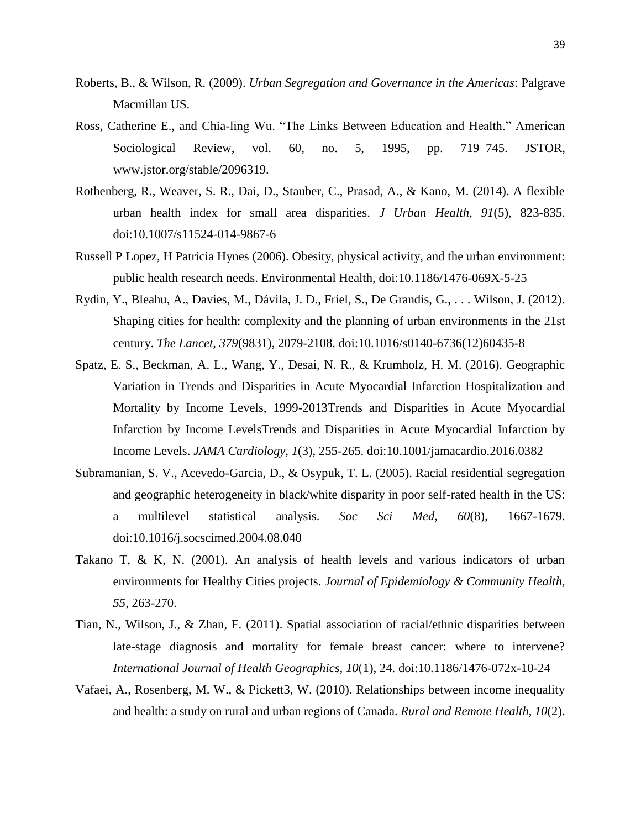- <span id="page-50-0"></span>Roberts, B., & Wilson, R. (2009). *Urban Segregation and Governance in the Americas*: Palgrave Macmillan US.
- Ross, Catherine E., and Chia-ling Wu. "The Links Between Education and Health." American Sociological Review, vol. 60, no. 5, 1995, pp. 719–745. JSTOR, www.jstor.org/stable/2096319.
- <span id="page-50-4"></span>Rothenberg, R., Weaver, S. R., Dai, D., Stauber, C., Prasad, A., & Kano, M. (2014). A flexible urban health index for small area disparities. *J Urban Health, 91*(5), 823-835. doi:10.1007/s11524-014-9867-6
- Russell P Lopez, H Patricia Hynes (2006). Obesity, physical activity, and the urban environment: public health research needs. Environmental Health, doi:10.1186/1476-069X-5-25
- <span id="page-50-2"></span>Rydin, Y., Bleahu, A., Davies, M., Dávila, J. D., Friel, S., De Grandis, G., . . . Wilson, J. (2012). Shaping cities for health: complexity and the planning of urban environments in the 21st century. *The Lancet, 379*(9831), 2079-2108. doi:10.1016/s0140-6736(12)60435-8
- Spatz, E. S., Beckman, A. L., Wang, Y., Desai, N. R., & Krumholz, H. M. (2016). Geographic Variation in Trends and Disparities in Acute Myocardial Infarction Hospitalization and Mortality by Income Levels, 1999-2013Trends and Disparities in Acute Myocardial Infarction by Income LevelsTrends and Disparities in Acute Myocardial Infarction by Income Levels. *JAMA Cardiology, 1*(3), 255-265. doi:10.1001/jamacardio.2016.0382
- Subramanian, S. V., Acevedo-Garcia, D., & Osypuk, T. L. (2005). Racial residential segregation and geographic heterogeneity in black/white disparity in poor self-rated health in the US: a multilevel statistical analysis. *Soc Sci Med, 60*(8), 1667-1679. doi:10.1016/j.socscimed.2004.08.040
- <span id="page-50-1"></span>Takano T, & K, N. (2001). An analysis of health levels and various indicators of urban environments for Healthy Cities projects. *Journal of Epidemiology & Community Health, 55*, 263-270.
- <span id="page-50-3"></span>Tian, N., Wilson, J., & Zhan, F. (2011). Spatial association of racial/ethnic disparities between late-stage diagnosis and mortality for female breast cancer: where to intervene? *International Journal of Health Geographics, 10*(1), 24. doi:10.1186/1476-072x-10-24
- Vafaei, A., Rosenberg, M. W., & Pickett3, W. (2010). Relationships between income inequality and health: a study on rural and urban regions of Canada. *Rural and Remote Health, 10*(2).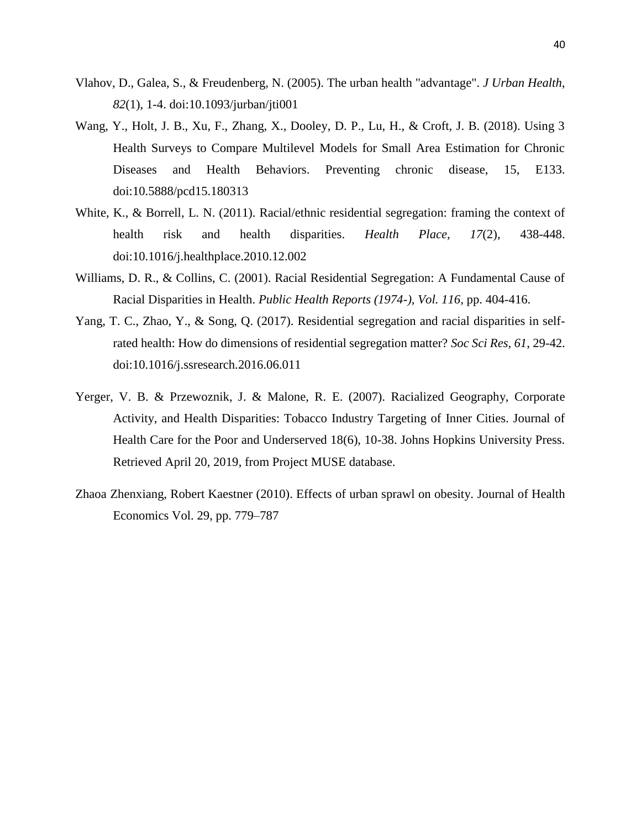- <span id="page-51-1"></span>Vlahov, D., Galea, S., & Freudenberg, N. (2005). The urban health "advantage". *J Urban Health, 82*(1), 1-4. doi:10.1093/jurban/jti001
- Wang, Y., Holt, J. B., Xu, F., Zhang, X., Dooley, D. P., Lu, H., & Croft, J. B. (2018). Using 3 Health Surveys to Compare Multilevel Models for Small Area Estimation for Chronic Diseases and Health Behaviors. Preventing chronic disease, 15, E133. doi:10.5888/pcd15.180313
- <span id="page-51-0"></span>White, K., & Borrell, L. N. (2011). Racial/ethnic residential segregation: framing the context of health risk and health disparities. *Health Place, 17*(2), 438-448. doi:10.1016/j.healthplace.2010.12.002
- <span id="page-51-2"></span>Williams, D. R., & Collins, C. (2001). Racial Residential Segregation: A Fundamental Cause of Racial Disparities in Health. *Public Health Reports (1974-), Vol. 116*, pp. 404-416.
- Yang, T. C., Zhao, Y., & Song, Q. (2017). Residential segregation and racial disparities in selfrated health: How do dimensions of residential segregation matter? *Soc Sci Res, 61*, 29-42. doi:10.1016/j.ssresearch.2016.06.011
- Yerger, V. B. & Przewoznik, J. & Malone, R. E. (2007). Racialized Geography, Corporate Activity, and Health Disparities: Tobacco Industry Targeting of Inner Cities. Journal of Health Care for the Poor and Underserved 18(6), 10-38. Johns Hopkins University Press. Retrieved April 20, 2019, from Project MUSE database.
- Zhaoa Zhenxiang, Robert Kaestner (2010). Effects of urban sprawl on obesity. Journal of Health Economics Vol. 29, pp. 779–787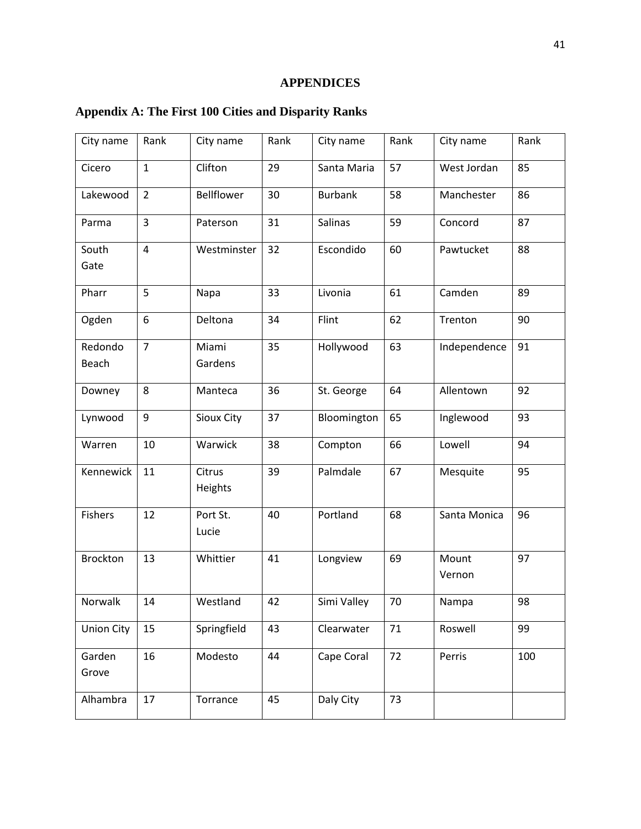## **APPENDICES**

# <span id="page-52-1"></span><span id="page-52-0"></span>**Appendix A: The First 100 Cities and Disparity Ranks**

| City name         | Rank           | City name         | Rank | City name      | Rank | City name       | Rank |
|-------------------|----------------|-------------------|------|----------------|------|-----------------|------|
| Cicero            | $\mathbf{1}$   | Clifton           | 29   | Santa Maria    | 57   | West Jordan     | 85   |
| Lakewood          | $\overline{2}$ | Bellflower        | 30   | <b>Burbank</b> | 58   | Manchester      | 86   |
| Parma             | 3              | Paterson          | 31   | Salinas        | 59   | Concord         | 87   |
| South<br>Gate     | $\overline{4}$ | Westminster       | 32   | Escondido      | 60   | Pawtucket       | 88   |
| Pharr             | 5              | Napa              | 33   | Livonia        | 61   | Camden          | 89   |
| Ogden             | 6              | Deltona           | 34   | Flint          | 62   | Trenton         | 90   |
| Redondo<br>Beach  | $\overline{7}$ | Miami<br>Gardens  | 35   | Hollywood      | 63   | Independence    | 91   |
| Downey            | 8              | Manteca           | 36   | St. George     | 64   | Allentown       | 92   |
| Lynwood           | 9              | Sioux City        | 37   | Bloomington    | 65   | Inglewood       | 93   |
| Warren            | 10             | Warwick           | 38   | Compton        | 66   | Lowell          | 94   |
| Kennewick         | 11             | Citrus<br>Heights | 39   | Palmdale       | 67   | Mesquite        | 95   |
| <b>Fishers</b>    | 12             | Port St.<br>Lucie | 40   | Portland       | 68   | Santa Monica    | 96   |
| Brockton          | 13             | Whittier          | 41   | Longview       | 69   | Mount<br>Vernon | 97   |
| Norwalk           | $14\,$         | Westland          | 42   | Simi Valley    | 70   | Nampa           | 98   |
| <b>Union City</b> | 15             | Springfield       | 43   | Clearwater     | 71   | Roswell         | 99   |
| Garden<br>Grove   | 16             | Modesto           | 44   | Cape Coral     | 72   | Perris          | 100  |
| Alhambra          | 17             | Torrance          | 45   | Daly City      | 73   |                 |      |